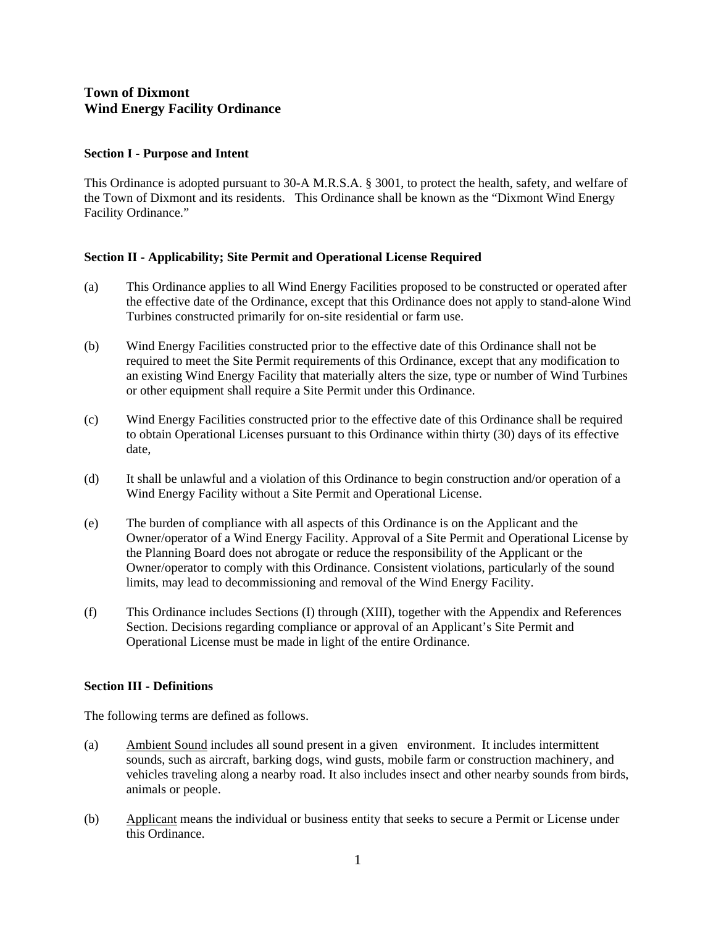# **Town of Dixmont Wind Energy Facility Ordinance**

### **Section I - Purpose and Intent**

This Ordinance is adopted pursuant to 30-A M.R.S.A. § 3001, to protect the health, safety, and welfare of the Town of Dixmont and its residents. This Ordinance shall be known as the "Dixmont Wind Energy Facility Ordinance."

## **Section II - Applicability; Site Permit and Operational License Required**

- (a) This Ordinance applies to all Wind Energy Facilities proposed to be constructed or operated after the effective date of the Ordinance, except that this Ordinance does not apply to stand-alone Wind Turbines constructed primarily for on-site residential or farm use.
- (b) Wind Energy Facilities constructed prior to the effective date of this Ordinance shall not be required to meet the Site Permit requirements of this Ordinance, except that any modification to an existing Wind Energy Facility that materially alters the size, type or number of Wind Turbines or other equipment shall require a Site Permit under this Ordinance.
- (c) Wind Energy Facilities constructed prior to the effective date of this Ordinance shall be required to obtain Operational Licenses pursuant to this Ordinance within thirty (30) days of its effective date,
- (d) It shall be unlawful and a violation of this Ordinance to begin construction and/or operation of a Wind Energy Facility without a Site Permit and Operational License.
- (e) The burden of compliance with all aspects of this Ordinance is on the Applicant and the Owner/operator of a Wind Energy Facility. Approval of a Site Permit and Operational License by the Planning Board does not abrogate or reduce the responsibility of the Applicant or the Owner/operator to comply with this Ordinance. Consistent violations, particularly of the sound limits, may lead to decommissioning and removal of the Wind Energy Facility.
- (f) This Ordinance includes Sections (I) through (XIII), together with the Appendix and References Section. Decisions regarding compliance or approval of an Applicant's Site Permit and Operational License must be made in light of the entire Ordinance.

## **Section III - Definitions**

The following terms are defined as follows.

- (a) Ambient Sound includes all sound present in a given environment. It includes intermittent sounds, such as aircraft, barking dogs, wind gusts, mobile farm or construction machinery, and vehicles traveling along a nearby road. It also includes insect and other nearby sounds from birds, animals or people.
- (b) Applicant means the individual or business entity that seeks to secure a Permit or License under this Ordinance.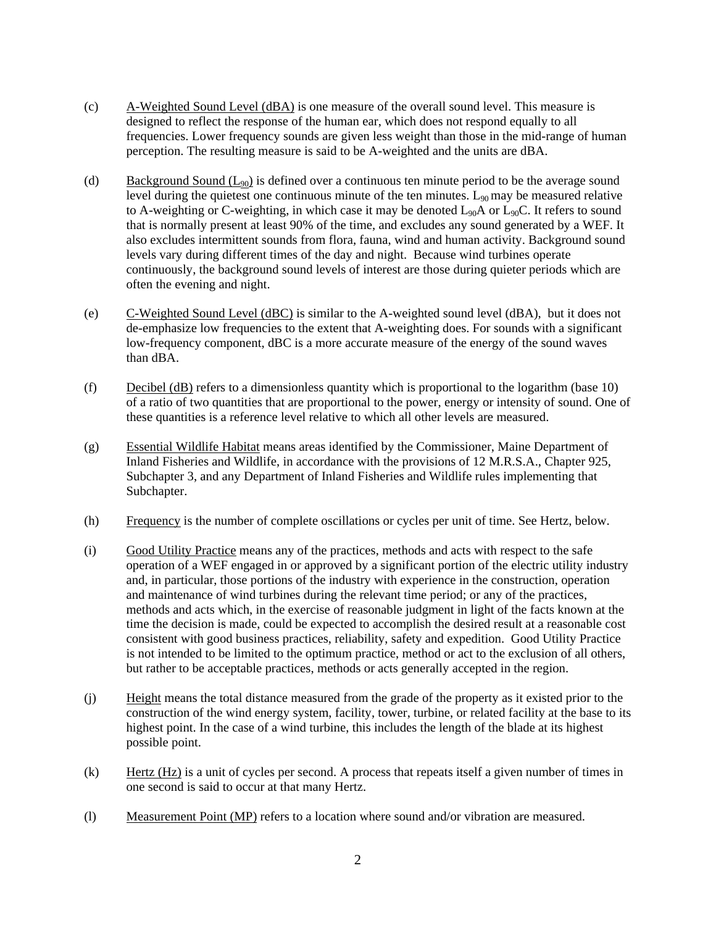- (c) A-Weighted Sound Level (dBA) is one measure of the overall sound level. This measure is designed to reflect the response of the human ear, which does not respond equally to all frequencies. Lower frequency sounds are given less weight than those in the mid-range of human perception. The resulting measure is said to be A-weighted and the units are dBA.
- (d) Background Sound  $(L_{90})$  is defined over a continuous ten minute period to be the average sound level during the quietest one continuous minute of the ten minutes.  $L_{90}$  may be measured relative to A-weighting or C-weighting, in which case it may be denoted  $L_{90}A$  or  $L_{90}C$ . It refers to sound that is normally present at least 90% of the time, and excludes any sound generated by a WEF. It also excludes intermittent sounds from flora, fauna, wind and human activity. Background sound levels vary during different times of the day and night. Because wind turbines operate continuously, the background sound levels of interest are those during quieter periods which are often the evening and night.
- (e) C-Weighted Sound Level (dBC) is similar to the A-weighted sound level (dBA), but it does not de-emphasize low frequencies to the extent that A-weighting does. For sounds with a significant low-frequency component, dBC is a more accurate measure of the energy of the sound waves than dBA.
- (f) Decibel (dB) refers to a dimensionless quantity which is proportional to the logarithm (base 10) of a ratio of two quantities that are proportional to the power, energy or intensity of sound. One of these quantities is a reference level relative to which all other levels are measured.
- (g) Essential Wildlife Habitat means areas identified by the Commissioner, Maine Department of Inland Fisheries and Wildlife, in accordance with the provisions of 12 M.R.S.A., Chapter 925, Subchapter 3, and any Department of Inland Fisheries and Wildlife rules implementing that Subchapter.
- (h) Frequency is the number of complete oscillations or cycles per unit of time. See Hertz, below.
- (i) Good Utility Practice means any of the practices, methods and acts with respect to the safe operation of a WEF engaged in or approved by a significant portion of the electric utility industry and, in particular, those portions of the industry with experience in the construction, operation and maintenance of wind turbines during the relevant time period; or any of the practices, methods and acts which, in the exercise of reasonable judgment in light of the facts known at the time the decision is made, could be expected to accomplish the desired result at a reasonable cost consistent with good business practices, reliability, safety and expedition. Good Utility Practice is not intended to be limited to the optimum practice, method or act to the exclusion of all others, but rather to be acceptable practices, methods or acts generally accepted in the region.
- (j) Height means the total distance measured from the grade of the property as it existed prior to the construction of the wind energy system, facility, tower, turbine, or related facility at the base to its highest point. In the case of a wind turbine, this includes the length of the blade at its highest possible point.
- (k) Hertz (Hz) is a unit of cycles per second. A process that repeats itself a given number of times in one second is said to occur at that many Hertz.
- (l) Measurement Point (MP) refers to a location where sound and/or vibration are measured.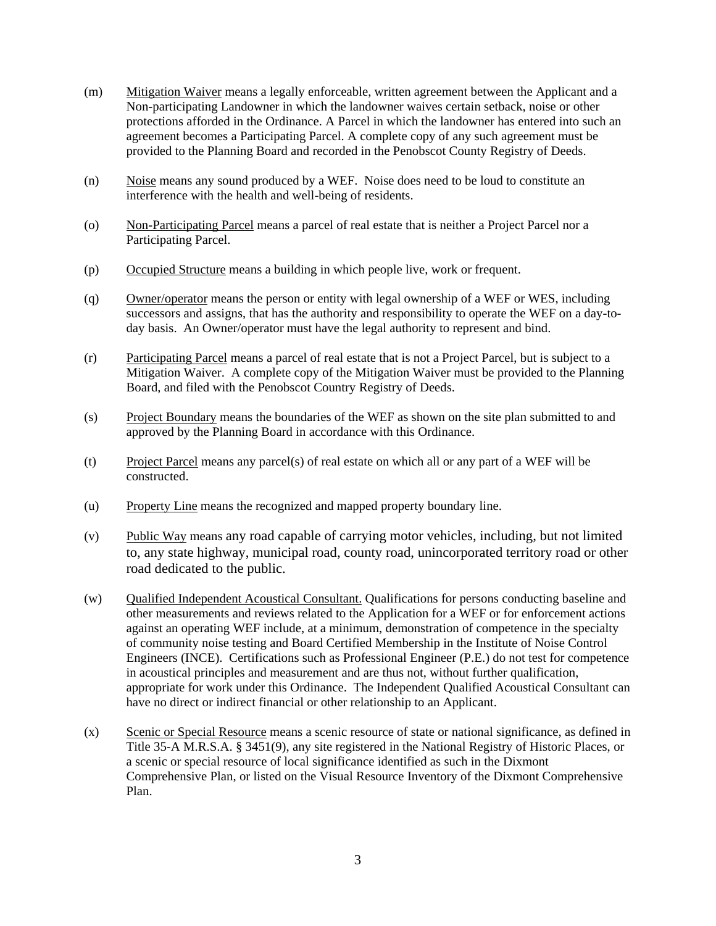- (m) Mitigation Waiver means a legally enforceable, written agreement between the Applicant and a Non-participating Landowner in which the landowner waives certain setback, noise or other protections afforded in the Ordinance. A Parcel in which the landowner has entered into such an agreement becomes a Participating Parcel. A complete copy of any such agreement must be provided to the Planning Board and recorded in the Penobscot County Registry of Deeds.
- (n) Noise means any sound produced by a WEF. Noise does need to be loud to constitute an interference with the health and well-being of residents.
- (o) Non-Participating Parcel means a parcel of real estate that is neither a Project Parcel nor a Participating Parcel.
- (p) Occupied Structure means a building in which people live, work or frequent.
- (q) Owner/operator means the person or entity with legal ownership of a WEF or WES, including successors and assigns, that has the authority and responsibility to operate the WEF on a day-today basis. An Owner/operator must have the legal authority to represent and bind.
- (r) Participating Parcel means a parcel of real estate that is not a Project Parcel, but is subject to a Mitigation Waiver. A complete copy of the Mitigation Waiver must be provided to the Planning Board, and filed with the Penobscot Country Registry of Deeds.
- (s) Project Boundary means the boundaries of the WEF as shown on the site plan submitted to and approved by the Planning Board in accordance with this Ordinance.
- (t) Project Parcel means any parcel(s) of real estate on which all or any part of a WEF will be constructed.
- (u) Property Line means the recognized and mapped property boundary line.
- (v) Public Way means any road capable of carrying motor vehicles, including, but not limited to, any state highway, municipal road, county road, unincorporated territory road or other road dedicated to the public.
- (w) Qualified Independent Acoustical Consultant. Qualifications for persons conducting baseline and other measurements and reviews related to the Application for a WEF or for enforcement actions against an operating WEF include, at a minimum, demonstration of competence in the specialty of community noise testing and Board Certified Membership in the Institute of Noise Control Engineers (INCE). Certifications such as Professional Engineer (P.E.) do not test for competence in acoustical principles and measurement and are thus not, without further qualification, appropriate for work under this Ordinance. The Independent Qualified Acoustical Consultant can have no direct or indirect financial or other relationship to an Applicant.
- (x) Scenic or Special Resource means a scenic resource of state or national significance, as defined in Title 35-A M.R.S.A. § 3451(9), any site registered in the National Registry of Historic Places, or a scenic or special resource of local significance identified as such in the Dixmont Comprehensive Plan, or listed on the Visual Resource Inventory of the Dixmont Comprehensive Plan.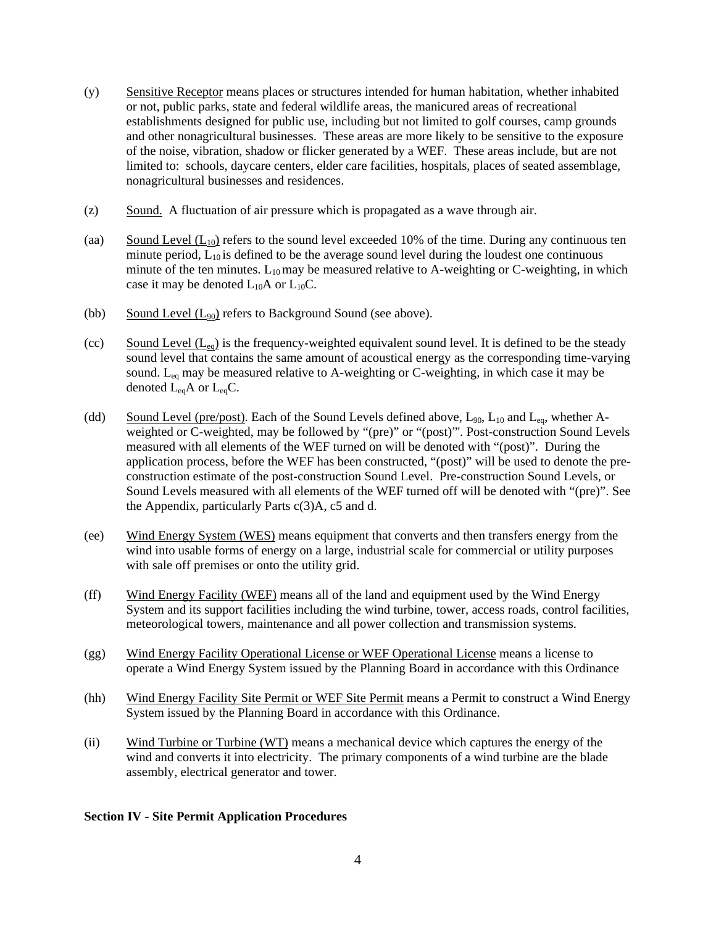- (y) Sensitive Receptor means places or structures intended for human habitation, whether inhabited or not, public parks, state and federal wildlife areas, the manicured areas of recreational establishments designed for public use, including but not limited to golf courses, camp grounds and other nonagricultural businesses. These areas are more likely to be sensitive to the exposure of the noise, vibration, shadow or flicker generated by a WEF. These areas include, but are not limited to: schools, daycare centers, elder care facilities, hospitals, places of seated assemblage, nonagricultural businesses and residences.
- (z) Sound. A fluctuation of air pressure which is propagated as a wave through air.
- (aa) Sound Level  $(L_{10})$  refers to the sound level exceeded 10% of the time. During any continuous ten minute period,  $L_{10}$  is defined to be the average sound level during the loudest one continuous minute of the ten minutes.  $L_{10}$  may be measured relative to A-weighting or C-weighting, in which case it may be denoted  $L_{10}A$  or  $L_{10}C$ .
- (bb) Sound Level  $(L_{90})$  refers to Background Sound (see above).
- (cc) Sound Level  $(L_{eq})$  is the frequency-weighted equivalent sound level. It is defined to be the steady sound level that contains the same amount of acoustical energy as the corresponding time-varying sound.  $L_{eq}$  may be measured relative to A-weighting or C-weighting, in which case it may be denoted  $L_{eq}A$  or  $L_{eq}C$ .
- (dd) Sound Level (pre/post). Each of the Sound Levels defined above,  $L_{90}$ ,  $L_{10}$  and  $L_{eq}$ , whether Aweighted or C-weighted, may be followed by "(pre)" or "(post)"'. Post-construction Sound Levels measured with all elements of the WEF turned on will be denoted with "(post)". During the application process, before the WEF has been constructed, "(post)" will be used to denote the preconstruction estimate of the post-construction Sound Level. Pre-construction Sound Levels, or Sound Levels measured with all elements of the WEF turned off will be denoted with "(pre)". See the Appendix, particularly Parts c(3)A, c5 and d.
- (ee) Wind Energy System (WES) means equipment that converts and then transfers energy from the wind into usable forms of energy on a large, industrial scale for commercial or utility purposes with sale off premises or onto the utility grid.
- (ff) Wind Energy Facility (WEF) means all of the land and equipment used by the Wind Energy System and its support facilities including the wind turbine, tower, access roads, control facilities, meteorological towers, maintenance and all power collection and transmission systems.
- (gg) Wind Energy Facility Operational License or WEF Operational License means a license to operate a Wind Energy System issued by the Planning Board in accordance with this Ordinance
- (hh) Wind Energy Facility Site Permit or WEF Site Permit means a Permit to construct a Wind Energy System issued by the Planning Board in accordance with this Ordinance.
- (ii) Wind Turbine or Turbine (WT) means a mechanical device which captures the energy of the wind and converts it into electricity. The primary components of a wind turbine are the blade assembly, electrical generator and tower.

### **Section IV - Site Permit Application Procedures**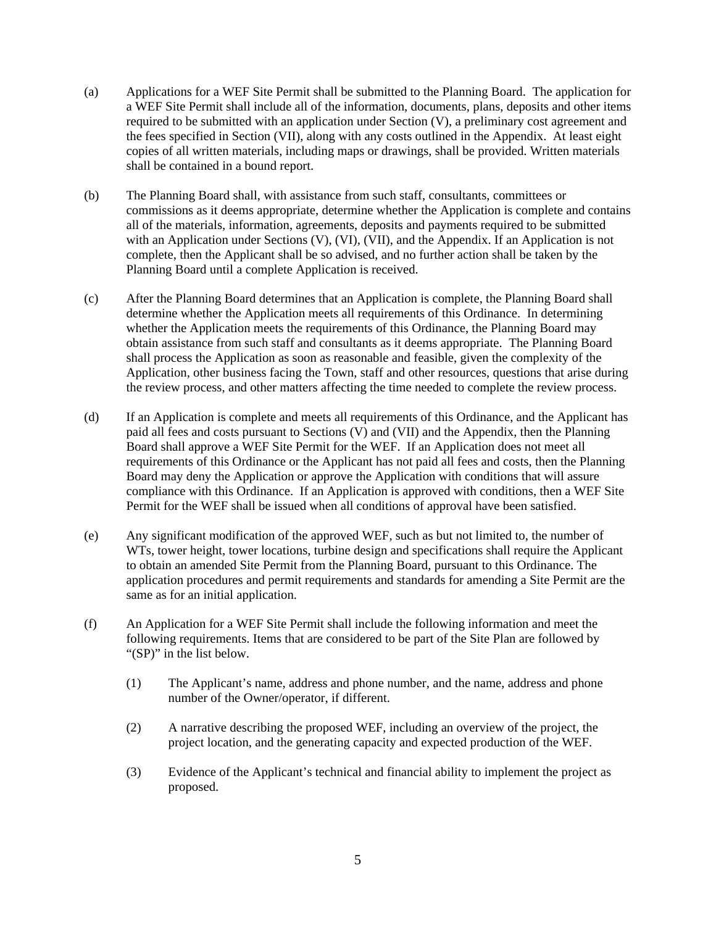- (a) Applications for a WEF Site Permit shall be submitted to the Planning Board. The application for a WEF Site Permit shall include all of the information, documents, plans, deposits and other items required to be submitted with an application under Section (V), a preliminary cost agreement and the fees specified in Section (VII), along with any costs outlined in the Appendix. At least eight copies of all written materials, including maps or drawings, shall be provided. Written materials shall be contained in a bound report.
- (b) The Planning Board shall, with assistance from such staff, consultants, committees or commissions as it deems appropriate, determine whether the Application is complete and contains all of the materials, information, agreements, deposits and payments required to be submitted with an Application under Sections (V), (VI), (VII), and the Appendix. If an Application is not complete, then the Applicant shall be so advised, and no further action shall be taken by the Planning Board until a complete Application is received.
- (c) After the Planning Board determines that an Application is complete, the Planning Board shall determine whether the Application meets all requirements of this Ordinance. In determining whether the Application meets the requirements of this Ordinance, the Planning Board may obtain assistance from such staff and consultants as it deems appropriate. The Planning Board shall process the Application as soon as reasonable and feasible, given the complexity of the Application, other business facing the Town, staff and other resources, questions that arise during the review process, and other matters affecting the time needed to complete the review process.
- (d) If an Application is complete and meets all requirements of this Ordinance, and the Applicant has paid all fees and costs pursuant to Sections  $(V)$  and  $(VII)$  and the Appendix, then the Planning Board shall approve a WEF Site Permit for the WEF. If an Application does not meet all requirements of this Ordinance or the Applicant has not paid all fees and costs, then the Planning Board may deny the Application or approve the Application with conditions that will assure compliance with this Ordinance. If an Application is approved with conditions, then a WEF Site Permit for the WEF shall be issued when all conditions of approval have been satisfied.
- (e) Any significant modification of the approved WEF, such as but not limited to, the number of WTs, tower height, tower locations, turbine design and specifications shall require the Applicant to obtain an amended Site Permit from the Planning Board, pursuant to this Ordinance. The application procedures and permit requirements and standards for amending a Site Permit are the same as for an initial application.
- (f) An Application for a WEF Site Permit shall include the following information and meet the following requirements. Items that are considered to be part of the Site Plan are followed by "(SP)" in the list below.
	- (1) The Applicant's name, address and phone number, and the name, address and phone number of the Owner/operator, if different.
	- (2) A narrative describing the proposed WEF, including an overview of the project, the project location, and the generating capacity and expected production of the WEF.
	- (3) Evidence of the Applicant's technical and financial ability to implement the project as proposed.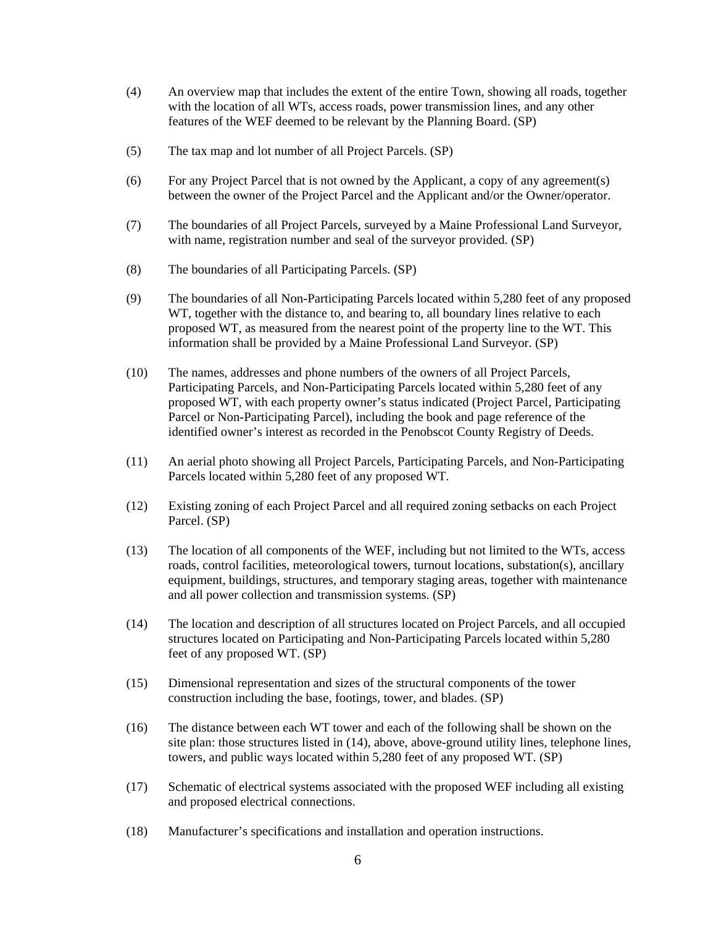- (4) An overview map that includes the extent of the entire Town, showing all roads, together with the location of all WTs, access roads, power transmission lines, and any other features of the WEF deemed to be relevant by the Planning Board. (SP)
- (5) The tax map and lot number of all Project Parcels. (SP)
- (6) For any Project Parcel that is not owned by the Applicant, a copy of any agreement(s) between the owner of the Project Parcel and the Applicant and/or the Owner/operator.
- (7) The boundaries of all Project Parcels, surveyed by a Maine Professional Land Surveyor, with name, registration number and seal of the surveyor provided. (SP)
- (8) The boundaries of all Participating Parcels. (SP)
- (9) The boundaries of all Non-Participating Parcels located within 5,280 feet of any proposed WT, together with the distance to, and bearing to, all boundary lines relative to each proposed WT, as measured from the nearest point of the property line to the WT. This information shall be provided by a Maine Professional Land Surveyor. (SP)
- (10) The names, addresses and phone numbers of the owners of all Project Parcels, Participating Parcels, and Non-Participating Parcels located within 5,280 feet of any proposed WT, with each property owner's status indicated (Project Parcel, Participating Parcel or Non-Participating Parcel), including the book and page reference of the identified owner's interest as recorded in the Penobscot County Registry of Deeds.
- (11) An aerial photo showing all Project Parcels, Participating Parcels, and Non-Participating Parcels located within 5,280 feet of any proposed WT.
- (12) Existing zoning of each Project Parcel and all required zoning setbacks on each Project Parcel. (SP)
- (13) The location of all components of the WEF, including but not limited to the WTs, access roads, control facilities, meteorological towers, turnout locations, substation(s), ancillary equipment, buildings, structures, and temporary staging areas, together with maintenance and all power collection and transmission systems. (SP)
- (14) The location and description of all structures located on Project Parcels, and all occupied structures located on Participating and Non-Participating Parcels located within 5,280 feet of any proposed WT. (SP)
- (15) Dimensional representation and sizes of the structural components of the tower construction including the base, footings, tower, and blades. (SP)
- (16) The distance between each WT tower and each of the following shall be shown on the site plan: those structures listed in (14), above, above-ground utility lines, telephone lines, towers, and public ways located within 5,280 feet of any proposed WT. (SP)
- (17) Schematic of electrical systems associated with the proposed WEF including all existing and proposed electrical connections.
- (18) Manufacturer's specifications and installation and operation instructions.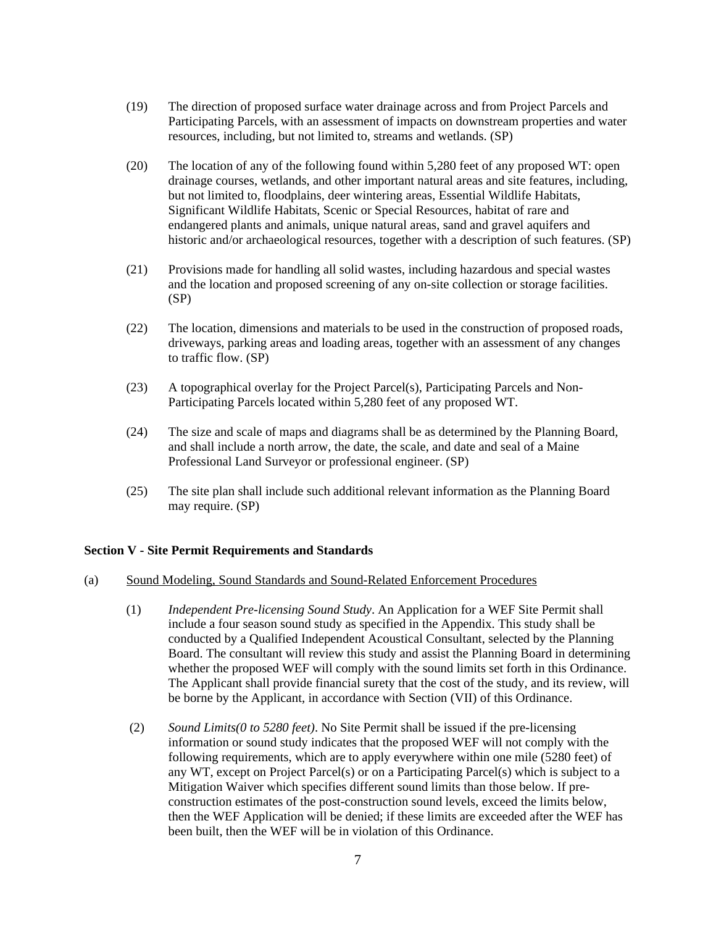- (19) The direction of proposed surface water drainage across and from Project Parcels and Participating Parcels, with an assessment of impacts on downstream properties and water resources, including, but not limited to, streams and wetlands. (SP)
- (20) The location of any of the following found within 5,280 feet of any proposed WT: open drainage courses, wetlands, and other important natural areas and site features, including, but not limited to, floodplains, deer wintering areas, Essential Wildlife Habitats, Significant Wildlife Habitats, Scenic or Special Resources, habitat of rare and endangered plants and animals, unique natural areas, sand and gravel aquifers and historic and/or archaeological resources, together with a description of such features. (SP)
- (21) Provisions made for handling all solid wastes, including hazardous and special wastes and the location and proposed screening of any on-site collection or storage facilities. (SP)
- (22) The location, dimensions and materials to be used in the construction of proposed roads, driveways, parking areas and loading areas, together with an assessment of any changes to traffic flow. (SP)
- (23) A topographical overlay for the Project Parcel(s), Participating Parcels and Non-Participating Parcels located within 5,280 feet of any proposed WT.
- (24) The size and scale of maps and diagrams shall be as determined by the Planning Board, and shall include a north arrow, the date, the scale, and date and seal of a Maine Professional Land Surveyor or professional engineer. (SP)
- (25) The site plan shall include such additional relevant information as the Planning Board may require. (SP)

## **Section V - Site Permit Requirements and Standards**

### (a) Sound Modeling, Sound Standards and Sound-Related Enforcement Procedures

- (1) *Independent Pre-licensing Sound Study*. An Application for a WEF Site Permit shall include a four season sound study as specified in the Appendix. This study shall be conducted by a Qualified Independent Acoustical Consultant, selected by the Planning Board. The consultant will review this study and assist the Planning Board in determining whether the proposed WEF will comply with the sound limits set forth in this Ordinance. The Applicant shall provide financial surety that the cost of the study, and its review, will be borne by the Applicant, in accordance with Section (VII) of this Ordinance.
- (2) *Sound Limits(0 to 5280 feet)*. No Site Permit shall be issued if the pre-licensing information or sound study indicates that the proposed WEF will not comply with the following requirements, which are to apply everywhere within one mile (5280 feet) of any WT, except on Project Parcel(s) or on a Participating Parcel(s) which is subject to a Mitigation Waiver which specifies different sound limits than those below. If preconstruction estimates of the post-construction sound levels, exceed the limits below, then the WEF Application will be denied; if these limits are exceeded after the WEF has been built, then the WEF will be in violation of this Ordinance.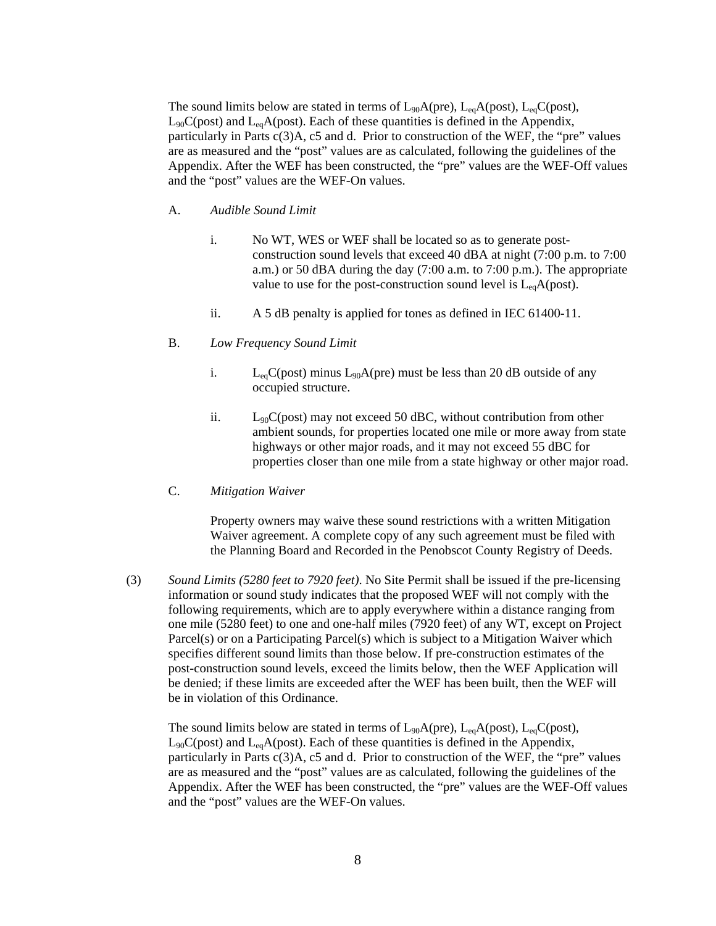The sound limits below are stated in terms of  $L_{90}A(\text{pre})$ ,  $L_{eq}A(\text{post})$ ,  $L_{eq}C(\text{post})$ ,  $L_{90}C(post)$  and  $L_{eq}A(post)$ . Each of these quantities is defined in the Appendix, particularly in Parts  $c(3)A$ ,  $c5$  and d. Prior to construction of the WEF, the "pre" values are as measured and the "post" values are as calculated, following the guidelines of the Appendix. After the WEF has been constructed, the "pre" values are the WEF-Off values and the "post" values are the WEF-On values.

#### A. *Audible Sound Limit*

- i. No WT, WES or WEF shall be located so as to generate postconstruction sound levels that exceed 40 dBA at night (7:00 p.m. to 7:00 a.m.) or 50 dBA during the day (7:00 a.m. to 7:00 p.m.). The appropriate value to use for the post-construction sound level is  $L_{eq}A(post)$ .
- ii. A 5 dB penalty is applied for tones as defined in IEC 61400-11.
- B. *Low Frequency Sound Limit*
	- i.  $L_{eq}C(post)$  minus  $L_{90}A(pre)$  must be less than 20 dB outside of any occupied structure.
	- ii.  $L_{90}C(post)$  may not exceed 50 dBC, without contribution from other ambient sounds, for properties located one mile or more away from state highways or other major roads, and it may not exceed 55 dBC for properties closer than one mile from a state highway or other major road.
- C. *Mitigation Waiver*

Property owners may waive these sound restrictions with a written Mitigation Waiver agreement. A complete copy of any such agreement must be filed with the Planning Board and Recorded in the Penobscot County Registry of Deeds.

(3) *Sound Limits (5280 feet to 7920 feet)*. No Site Permit shall be issued if the pre-licensing information or sound study indicates that the proposed WEF will not comply with the following requirements, which are to apply everywhere within a distance ranging from one mile (5280 feet) to one and one-half miles (7920 feet) of any WT, except on Project Parcel(s) or on a Participating Parcel(s) which is subject to a Mitigation Waiver which specifies different sound limits than those below. If pre-construction estimates of the post-construction sound levels, exceed the limits below, then the WEF Application will be denied; if these limits are exceeded after the WEF has been built, then the WEF will be in violation of this Ordinance.

The sound limits below are stated in terms of  $L_{90}A(\text{pre})$ ,  $L_{eq}A(\text{post})$ ,  $L_{eq}C(\text{post})$ ,  $L_{90}C(post)$  and  $L_{eq}A(post)$ . Each of these quantities is defined in the Appendix, particularly in Parts c(3)A, c5 and d. Prior to construction of the WEF, the "pre" values are as measured and the "post" values are as calculated, following the guidelines of the Appendix. After the WEF has been constructed, the "pre" values are the WEF-Off values and the "post" values are the WEF-On values.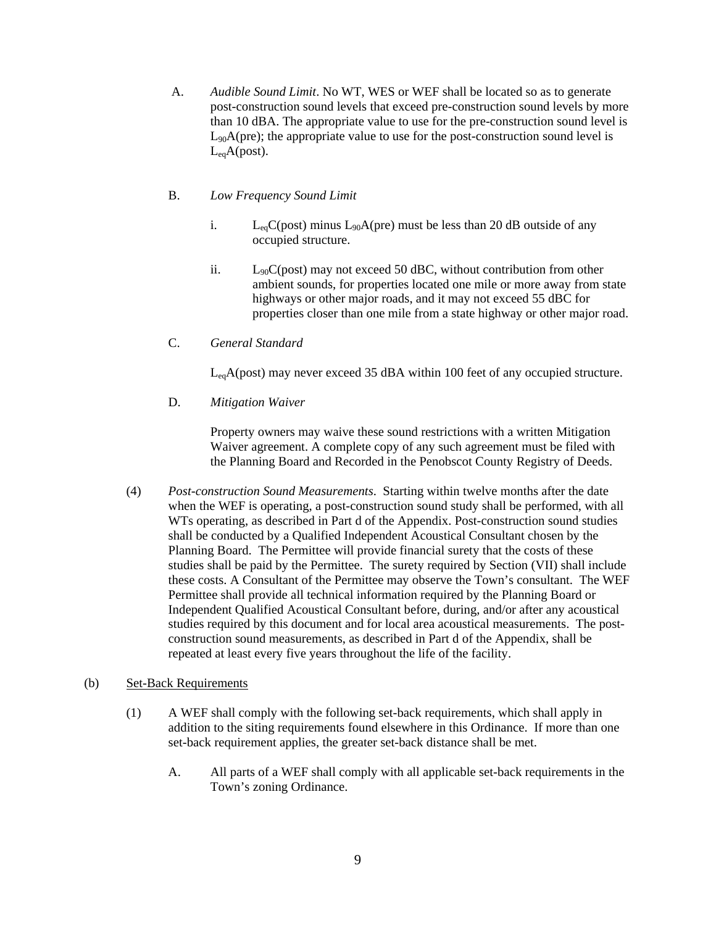A. *Audible Sound Limit*. No WT, WES or WEF shall be located so as to generate post-construction sound levels that exceed pre-construction sound levels by more than 10 dBA. The appropriate value to use for the pre-construction sound level is L90A(pre); the appropriate value to use for the post-construction sound level is  $L_{ea}A(post)$ .

## B. *Low Frequency Sound Limit*

- i.  $L_{eq}C(post)$  minus  $L_{90}A(pre)$  must be less than 20 dB outside of any occupied structure.
- ii.  $L_{90}C(post)$  may not exceed 50 dBC, without contribution from other ambient sounds, for properties located one mile or more away from state highways or other major roads, and it may not exceed 55 dBC for properties closer than one mile from a state highway or other major road.
- C. *General Standard*

 $L_{eq}A(post)$  may never exceed 35 dBA within 100 feet of any occupied structure.

D. *Mitigation Waiver*

Property owners may waive these sound restrictions with a written Mitigation Waiver agreement. A complete copy of any such agreement must be filed with the Planning Board and Recorded in the Penobscot County Registry of Deeds.

(4) *Post-construction Sound Measurements*. Starting within twelve months after the date when the WEF is operating, a post-construction sound study shall be performed, with all WTs operating, as described in Part d of the Appendix. Post-construction sound studies shall be conducted by a Qualified Independent Acoustical Consultant chosen by the Planning Board. The Permittee will provide financial surety that the costs of these studies shall be paid by the Permittee. The surety required by Section (VII) shall include these costs. A Consultant of the Permittee may observe the Town's consultant. The WEF Permittee shall provide all technical information required by the Planning Board or Independent Qualified Acoustical Consultant before, during, and/or after any acoustical studies required by this document and for local area acoustical measurements. The postconstruction sound measurements, as described in Part d of the Appendix, shall be repeated at least every five years throughout the life of the facility.

## (b) Set-Back Requirements

- (1) A WEF shall comply with the following set-back requirements, which shall apply in addition to the siting requirements found elsewhere in this Ordinance. If more than one set-back requirement applies, the greater set-back distance shall be met.
	- A. All parts of a WEF shall comply with all applicable set-back requirements in the Town's zoning Ordinance.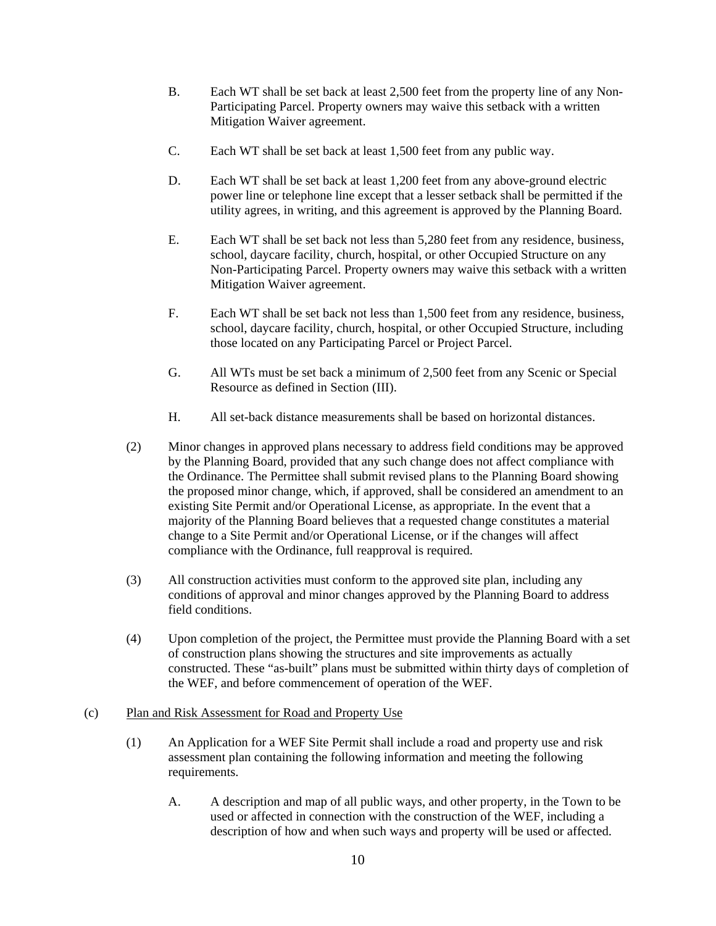- B. Each WT shall be set back at least 2,500 feet from the property line of any Non-Participating Parcel. Property owners may waive this setback with a written Mitigation Waiver agreement.
- C. Each WT shall be set back at least 1,500 feet from any public way.
- D. Each WT shall be set back at least 1,200 feet from any above-ground electric power line or telephone line except that a lesser setback shall be permitted if the utility agrees, in writing, and this agreement is approved by the Planning Board.
- E. Each WT shall be set back not less than 5,280 feet from any residence, business, school, daycare facility, church, hospital, or other Occupied Structure on any Non-Participating Parcel. Property owners may waive this setback with a written Mitigation Waiver agreement.
- F. Each WT shall be set back not less than 1,500 feet from any residence, business, school, daycare facility, church, hospital, or other Occupied Structure, including those located on any Participating Parcel or Project Parcel.
- G. All WTs must be set back a minimum of 2,500 feet from any Scenic or Special Resource as defined in Section (III).
- H. All set-back distance measurements shall be based on horizontal distances.
- (2) Minor changes in approved plans necessary to address field conditions may be approved by the Planning Board, provided that any such change does not affect compliance with the Ordinance. The Permittee shall submit revised plans to the Planning Board showing the proposed minor change, which, if approved, shall be considered an amendment to an existing Site Permit and/or Operational License, as appropriate. In the event that a majority of the Planning Board believes that a requested change constitutes a material change to a Site Permit and/or Operational License, or if the changes will affect compliance with the Ordinance, full reapproval is required.
- (3) All construction activities must conform to the approved site plan, including any conditions of approval and minor changes approved by the Planning Board to address field conditions.
- (4) Upon completion of the project, the Permittee must provide the Planning Board with a set of construction plans showing the structures and site improvements as actually constructed. These "as-built" plans must be submitted within thirty days of completion of the WEF, and before commencement of operation of the WEF.

## (c) Plan and Risk Assessment for Road and Property Use

- (1) An Application for a WEF Site Permit shall include a road and property use and risk assessment plan containing the following information and meeting the following requirements.
	- A. A description and map of all public ways, and other property, in the Town to be used or affected in connection with the construction of the WEF, including a description of how and when such ways and property will be used or affected.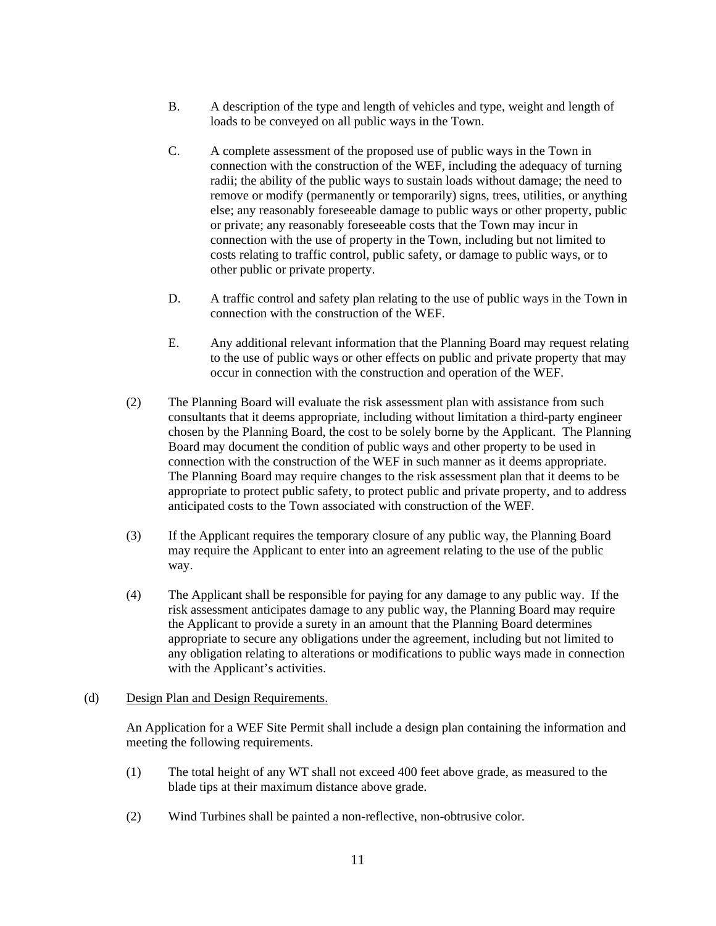- B. A description of the type and length of vehicles and type, weight and length of loads to be conveyed on all public ways in the Town.
- C. A complete assessment of the proposed use of public ways in the Town in connection with the construction of the WEF, including the adequacy of turning radii; the ability of the public ways to sustain loads without damage; the need to remove or modify (permanently or temporarily) signs, trees, utilities, or anything else; any reasonably foreseeable damage to public ways or other property, public or private; any reasonably foreseeable costs that the Town may incur in connection with the use of property in the Town, including but not limited to costs relating to traffic control, public safety, or damage to public ways, or to other public or private property.
- D. A traffic control and safety plan relating to the use of public ways in the Town in connection with the construction of the WEF.
- E. Any additional relevant information that the Planning Board may request relating to the use of public ways or other effects on public and private property that may occur in connection with the construction and operation of the WEF.
- (2) The Planning Board will evaluate the risk assessment plan with assistance from such consultants that it deems appropriate, including without limitation a third-party engineer chosen by the Planning Board, the cost to be solely borne by the Applicant. The Planning Board may document the condition of public ways and other property to be used in connection with the construction of the WEF in such manner as it deems appropriate. The Planning Board may require changes to the risk assessment plan that it deems to be appropriate to protect public safety, to protect public and private property, and to address anticipated costs to the Town associated with construction of the WEF.
- (3) If the Applicant requires the temporary closure of any public way, the Planning Board may require the Applicant to enter into an agreement relating to the use of the public way.
- (4) The Applicant shall be responsible for paying for any damage to any public way. If the risk assessment anticipates damage to any public way, the Planning Board may require the Applicant to provide a surety in an amount that the Planning Board determines appropriate to secure any obligations under the agreement, including but not limited to any obligation relating to alterations or modifications to public ways made in connection with the Applicant's activities.

#### (d) Design Plan and Design Requirements.

An Application for a WEF Site Permit shall include a design plan containing the information and meeting the following requirements.

- (1) The total height of any WT shall not exceed 400 feet above grade, as measured to the blade tips at their maximum distance above grade.
- (2) Wind Turbines shall be painted a non-reflective, non-obtrusive color.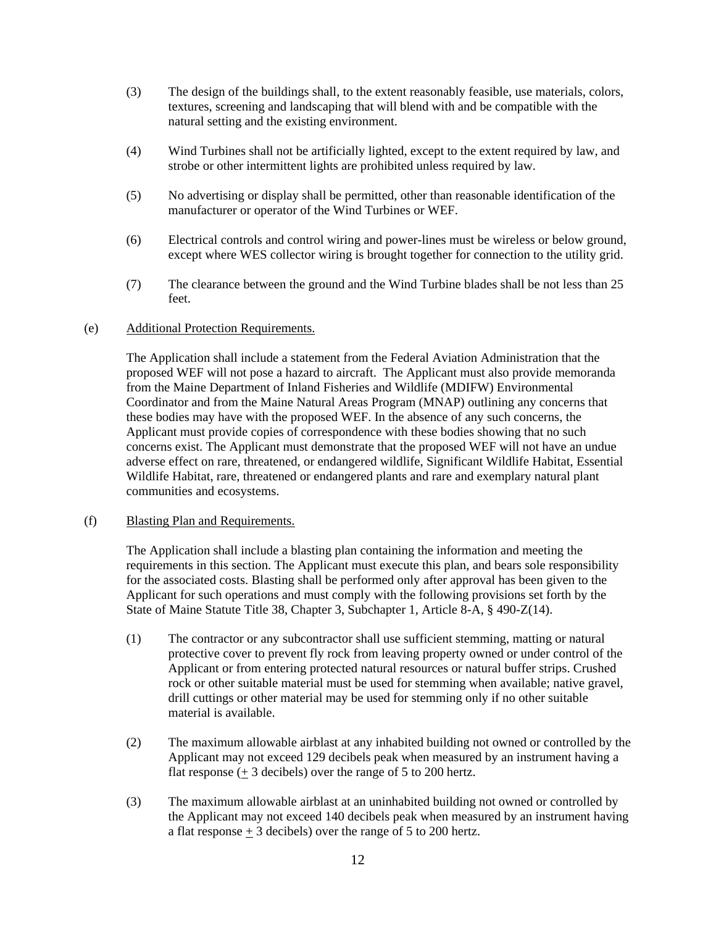- (3) The design of the buildings shall, to the extent reasonably feasible, use materials, colors, textures, screening and landscaping that will blend with and be compatible with the natural setting and the existing environment.
- (4) Wind Turbines shall not be artificially lighted, except to the extent required by law, and strobe or other intermittent lights are prohibited unless required by law.
- (5) No advertising or display shall be permitted, other than reasonable identification of the manufacturer or operator of the Wind Turbines or WEF.
- (6) Electrical controls and control wiring and power-lines must be wireless or below ground, except where WES collector wiring is brought together for connection to the utility grid.
- (7) The clearance between the ground and the Wind Turbine blades shall be not less than 25 feet.

### (e) Additional Protection Requirements.

The Application shall include a statement from the Federal Aviation Administration that the proposed WEF will not pose a hazard to aircraft. The Applicant must also provide memoranda from the Maine Department of Inland Fisheries and Wildlife (MDIFW) Environmental Coordinator and from the Maine Natural Areas Program (MNAP) outlining any concerns that these bodies may have with the proposed WEF. In the absence of any such concerns, the Applicant must provide copies of correspondence with these bodies showing that no such concerns exist. The Applicant must demonstrate that the proposed WEF will not have an undue adverse effect on rare, threatened, or endangered wildlife, Significant Wildlife Habitat, Essential Wildlife Habitat, rare, threatened or endangered plants and rare and exemplary natural plant communities and ecosystems.

### (f) Blasting Plan and Requirements.

The Application shall include a blasting plan containing the information and meeting the requirements in this section. The Applicant must execute this plan, and bears sole responsibility for the associated costs. Blasting shall be performed only after approval has been given to the Applicant for such operations and must comply with the following provisions set forth by the State of Maine Statute Title 38, Chapter 3, Subchapter 1, Article 8-A, § 490-Z(14).

- (1) The contractor or any subcontractor shall use sufficient stemming, matting or natural protective cover to prevent fly rock from leaving property owned or under control of the Applicant or from entering protected natural resources or natural buffer strips. Crushed rock or other suitable material must be used for stemming when available; native gravel, drill cuttings or other material may be used for stemming only if no other suitable material is available.
- (2) The maximum allowable airblast at any inhabited building not owned or controlled by the Applicant may not exceed 129 decibels peak when measured by an instrument having a flat response (+ 3 decibels) over the range of 5 to 200 hertz.
- (3) The maximum allowable airblast at an uninhabited building not owned or controlled by the Applicant may not exceed 140 decibels peak when measured by an instrument having a flat response  $\pm$  3 decibels) over the range of 5 to 200 hertz.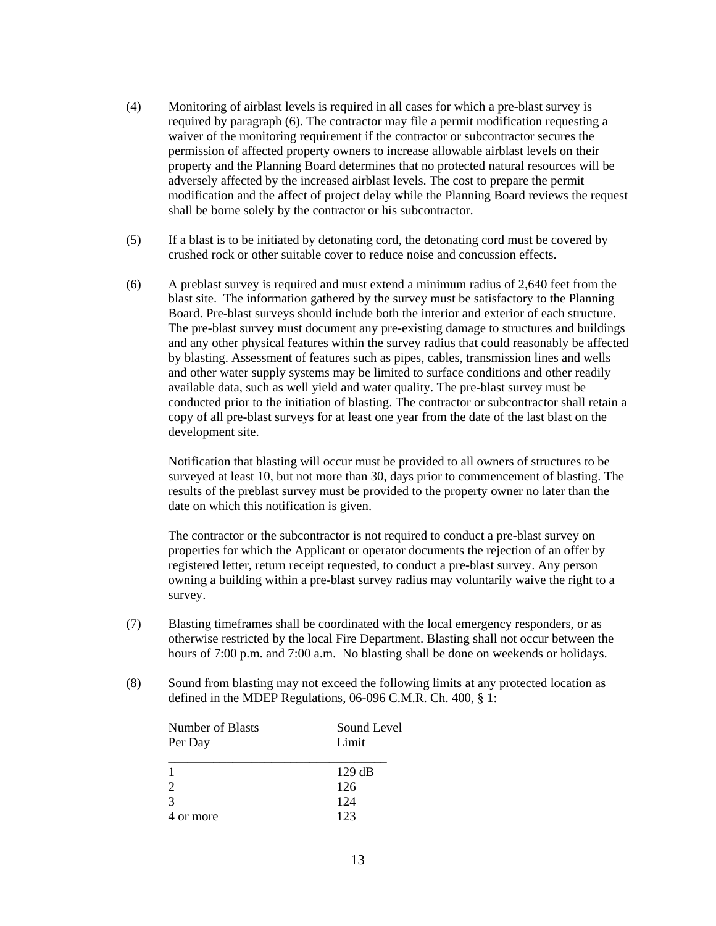- (4) Monitoring of airblast levels is required in all cases for which a pre-blast survey is required by paragraph (6). The contractor may file a permit modification requesting a waiver of the monitoring requirement if the contractor or subcontractor secures the permission of affected property owners to increase allowable airblast levels on their property and the Planning Board determines that no protected natural resources will be adversely affected by the increased airblast levels. The cost to prepare the permit modification and the affect of project delay while the Planning Board reviews the request shall be borne solely by the contractor or his subcontractor.
- (5) If a blast is to be initiated by detonating cord, the detonating cord must be covered by crushed rock or other suitable cover to reduce noise and concussion effects.
- (6) A preblast survey is required and must extend a minimum radius of 2,640 feet from the blast site. The information gathered by the survey must be satisfactory to the Planning Board. Pre-blast surveys should include both the interior and exterior of each structure. The pre-blast survey must document any pre-existing damage to structures and buildings and any other physical features within the survey radius that could reasonably be affected by blasting. Assessment of features such as pipes, cables, transmission lines and wells and other water supply systems may be limited to surface conditions and other readily available data, such as well yield and water quality. The pre-blast survey must be conducted prior to the initiation of blasting. The contractor or subcontractor shall retain a copy of all pre-blast surveys for at least one year from the date of the last blast on the development site.

Notification that blasting will occur must be provided to all owners of structures to be surveyed at least 10, but not more than 30, days prior to commencement of blasting. The results of the preblast survey must be provided to the property owner no later than the date on which this notification is given.

The contractor or the subcontractor is not required to conduct a pre-blast survey on properties for which the Applicant or operator documents the rejection of an offer by registered letter, return receipt requested, to conduct a pre-blast survey. Any person owning a building within a pre-blast survey radius may voluntarily waive the right to a survey.

- (7) Blasting timeframes shall be coordinated with the local emergency responders, or as otherwise restricted by the local Fire Department. Blasting shall not occur between the hours of 7:00 p.m. and 7:00 a.m. No blasting shall be done on weekends or holidays.
- (8) Sound from blasting may not exceed the following limits at any protected location as defined in the MDEP Regulations, 06-096 C.M.R. Ch. 400, § 1:

| Number of Blasts<br>Per Day | Sound Level<br>Limit |
|-----------------------------|----------------------|
|                             |                      |
| 2                           | 126                  |
| $\mathcal{R}$               | 124                  |
| 4 or more                   | 123                  |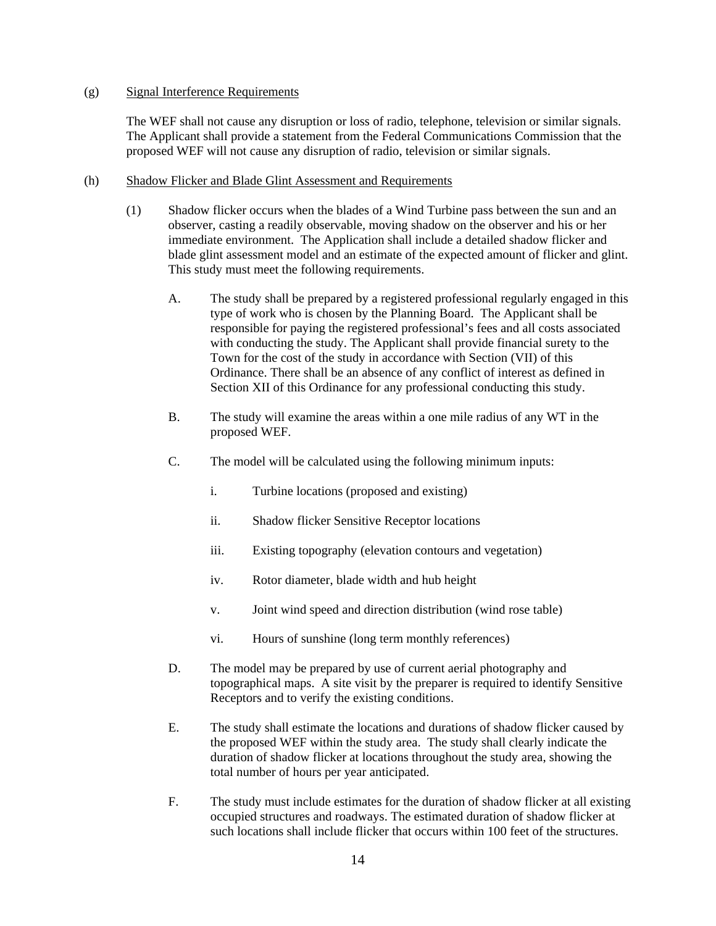### (g) Signal Interference Requirements

The WEF shall not cause any disruption or loss of radio, telephone, television or similar signals. The Applicant shall provide a statement from the Federal Communications Commission that the proposed WEF will not cause any disruption of radio, television or similar signals.

### (h) Shadow Flicker and Blade Glint Assessment and Requirements

- (1) Shadow flicker occurs when the blades of a Wind Turbine pass between the sun and an observer, casting a readily observable, moving shadow on the observer and his or her immediate environment. The Application shall include a detailed shadow flicker and blade glint assessment model and an estimate of the expected amount of flicker and glint. This study must meet the following requirements.
	- A. The study shall be prepared by a registered professional regularly engaged in this type of work who is chosen by the Planning Board. The Applicant shall be responsible for paying the registered professional's fees and all costs associated with conducting the study. The Applicant shall provide financial surety to the Town for the cost of the study in accordance with Section (VII) of this Ordinance. There shall be an absence of any conflict of interest as defined in Section XII of this Ordinance for any professional conducting this study.
	- B. The study will examine the areas within a one mile radius of any WT in the proposed WEF.
	- C. The model will be calculated using the following minimum inputs:
		- i. Turbine locations (proposed and existing)
		- ii. Shadow flicker Sensitive Receptor locations
		- iii. Existing topography (elevation contours and vegetation)
		- iv. Rotor diameter, blade width and hub height
		- v. Joint wind speed and direction distribution (wind rose table)
		- vi. Hours of sunshine (long term monthly references)
	- D. The model may be prepared by use of current aerial photography and topographical maps. A site visit by the preparer is required to identify Sensitive Receptors and to verify the existing conditions.
	- E. The study shall estimate the locations and durations of shadow flicker caused by the proposed WEF within the study area. The study shall clearly indicate the duration of shadow flicker at locations throughout the study area, showing the total number of hours per year anticipated.
	- F. The study must include estimates for the duration of shadow flicker at all existing occupied structures and roadways. The estimated duration of shadow flicker at such locations shall include flicker that occurs within 100 feet of the structures.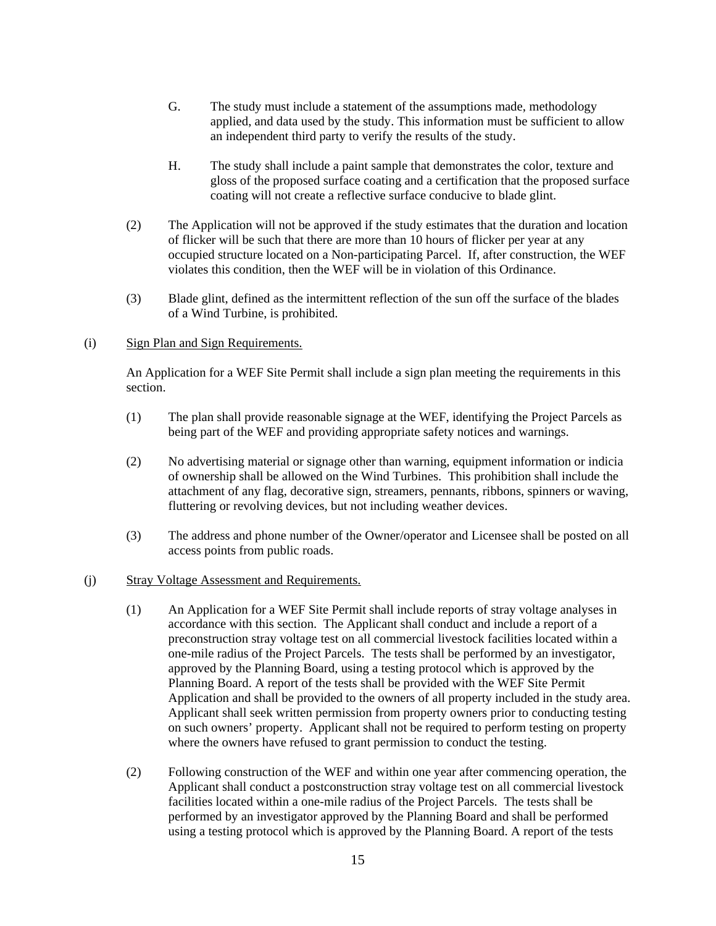- G. The study must include a statement of the assumptions made, methodology applied, and data used by the study. This information must be sufficient to allow an independent third party to verify the results of the study.
- H. The study shall include a paint sample that demonstrates the color, texture and gloss of the proposed surface coating and a certification that the proposed surface coating will not create a reflective surface conducive to blade glint.
- (2) The Application will not be approved if the study estimates that the duration and location of flicker will be such that there are more than 10 hours of flicker per year at any occupied structure located on a Non-participating Parcel. If, after construction, the WEF violates this condition, then the WEF will be in violation of this Ordinance.
- (3) Blade glint, defined as the intermittent reflection of the sun off the surface of the blades of a Wind Turbine, is prohibited.

### (i) Sign Plan and Sign Requirements.

An Application for a WEF Site Permit shall include a sign plan meeting the requirements in this section.

- (1) The plan shall provide reasonable signage at the WEF, identifying the Project Parcels as being part of the WEF and providing appropriate safety notices and warnings.
- (2) No advertising material or signage other than warning, equipment information or indicia of ownership shall be allowed on the Wind Turbines. This prohibition shall include the attachment of any flag, decorative sign, streamers, pennants, ribbons, spinners or waving, fluttering or revolving devices, but not including weather devices.
- (3) The address and phone number of the Owner/operator and Licensee shall be posted on all access points from public roads.

#### (j) Stray Voltage Assessment and Requirements.

- (1) An Application for a WEF Site Permit shall include reports of stray voltage analyses in accordance with this section. The Applicant shall conduct and include a report of a preconstruction stray voltage test on all commercial livestock facilities located within a one-mile radius of the Project Parcels. The tests shall be performed by an investigator, approved by the Planning Board, using a testing protocol which is approved by the Planning Board. A report of the tests shall be provided with the WEF Site Permit Application and shall be provided to the owners of all property included in the study area. Applicant shall seek written permission from property owners prior to conducting testing on such owners' property. Applicant shall not be required to perform testing on property where the owners have refused to grant permission to conduct the testing.
- (2) Following construction of the WEF and within one year after commencing operation, the Applicant shall conduct a postconstruction stray voltage test on all commercial livestock facilities located within a one-mile radius of the Project Parcels. The tests shall be performed by an investigator approved by the Planning Board and shall be performed using a testing protocol which is approved by the Planning Board. A report of the tests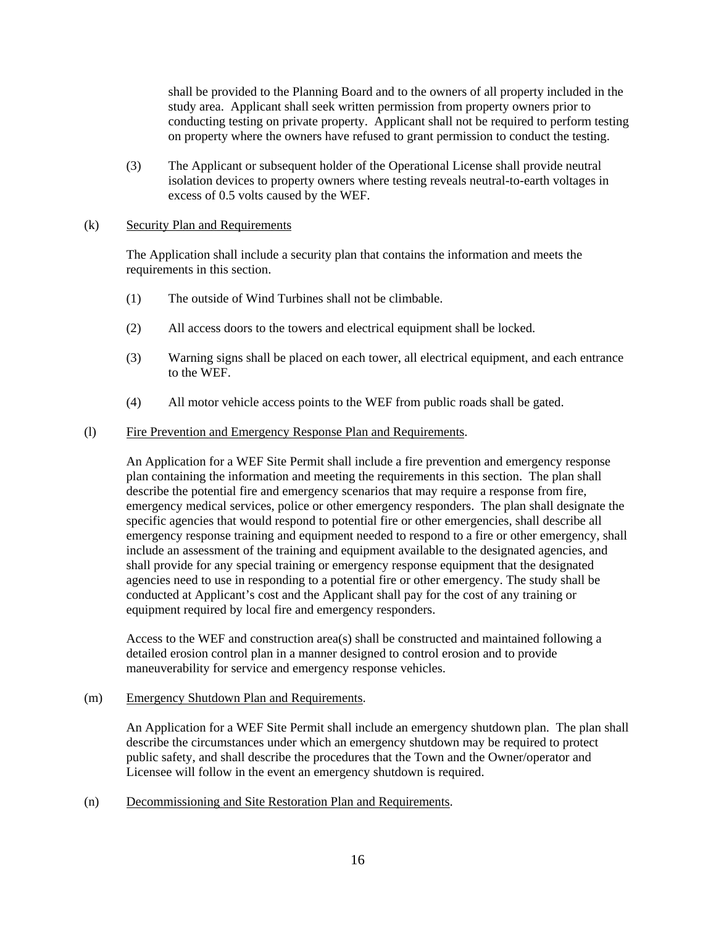shall be provided to the Planning Board and to the owners of all property included in the study area. Applicant shall seek written permission from property owners prior to conducting testing on private property. Applicant shall not be required to perform testing on property where the owners have refused to grant permission to conduct the testing.

(3) The Applicant or subsequent holder of the Operational License shall provide neutral isolation devices to property owners where testing reveals neutral-to-earth voltages in excess of 0.5 volts caused by the WEF.

### (k) Security Plan and Requirements

The Application shall include a security plan that contains the information and meets the requirements in this section.

- (1) The outside of Wind Turbines shall not be climbable.
- (2) All access doors to the towers and electrical equipment shall be locked.
- (3) Warning signs shall be placed on each tower, all electrical equipment, and each entrance to the WEF.
- (4) All motor vehicle access points to the WEF from public roads shall be gated.

#### (l) Fire Prevention and Emergency Response Plan and Requirements.

An Application for a WEF Site Permit shall include a fire prevention and emergency response plan containing the information and meeting the requirements in this section. The plan shall describe the potential fire and emergency scenarios that may require a response from fire, emergency medical services, police or other emergency responders. The plan shall designate the specific agencies that would respond to potential fire or other emergencies, shall describe all emergency response training and equipment needed to respond to a fire or other emergency, shall include an assessment of the training and equipment available to the designated agencies, and shall provide for any special training or emergency response equipment that the designated agencies need to use in responding to a potential fire or other emergency. The study shall be conducted at Applicant's cost and the Applicant shall pay for the cost of any training or equipment required by local fire and emergency responders.

Access to the WEF and construction area(s) shall be constructed and maintained following a detailed erosion control plan in a manner designed to control erosion and to provide maneuverability for service and emergency response vehicles.

#### (m) Emergency Shutdown Plan and Requirements.

An Application for a WEF Site Permit shall include an emergency shutdown plan. The plan shall describe the circumstances under which an emergency shutdown may be required to protect public safety, and shall describe the procedures that the Town and the Owner/operator and Licensee will follow in the event an emergency shutdown is required.

(n) Decommissioning and Site Restoration Plan and Requirements.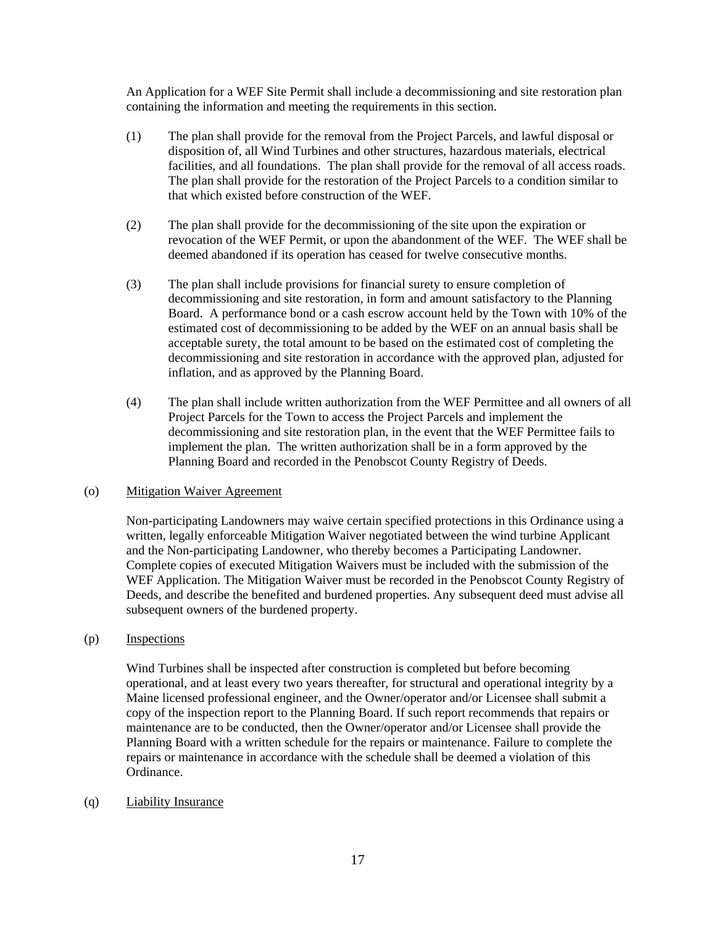An Application for a WEF Site Permit shall include a decommissioning and site restoration plan containing the information and meeting the requirements in this section.

- (1) The plan shall provide for the removal from the Project Parcels, and lawful disposal or disposition of, all Wind Turbines and other structures, hazardous materials, electrical facilities, and all foundations. The plan shall provide for the removal of all access roads. The plan shall provide for the restoration of the Project Parcels to a condition similar to that which existed before construction of the WEF.
- (2) The plan shall provide for the decommissioning of the site upon the expiration or revocation of the WEF Permit, or upon the abandonment of the WEF. The WEF shall be deemed abandoned if its operation has ceased for twelve consecutive months.
- (3) The plan shall include provisions for financial surety to ensure completion of decommissioning and site restoration, in form and amount satisfactory to the Planning Board. A performance bond or a cash escrow account held by the Town with 10% of the estimated cost of decommissioning to be added by the WEF on an annual basis shall be acceptable surety, the total amount to be based on the estimated cost of completing the decommissioning and site restoration in accordance with the approved plan, adjusted for inflation, and as approved by the Planning Board.
- (4) The plan shall include written authorization from the WEF Permittee and all owners of all Project Parcels for the Town to access the Project Parcels and implement the decommissioning and site restoration plan, in the event that the WEF Permittee fails to implement the plan. The written authorization shall be in a form approved by the Planning Board and recorded in the Penobscot County Registry of Deeds.

#### (o) Mitigation Waiver Agreement

Non-participating Landowners may waive certain specified protections in this Ordinance using a written, legally enforceable Mitigation Waiver negotiated between the wind turbine Applicant and the Non-participating Landowner, who thereby becomes a Participating Landowner. Complete copies of executed Mitigation Waivers must be included with the submission of the WEF Application. The Mitigation Waiver must be recorded in the Penobscot County Registry of Deeds, and describe the benefited and burdened properties. Any subsequent deed must advise all subsequent owners of the burdened property.

## (p) Inspections

Wind Turbines shall be inspected after construction is completed but before becoming operational, and at least every two years thereafter, for structural and operational integrity by a Maine licensed professional engineer, and the Owner/operator and/or Licensee shall submit a copy of the inspection report to the Planning Board. If such report recommends that repairs or maintenance are to be conducted, then the Owner/operator and/or Licensee shall provide the Planning Board with a written schedule for the repairs or maintenance. Failure to complete the repairs or maintenance in accordance with the schedule shall be deemed a violation of this Ordinance.

#### (q) Liability Insurance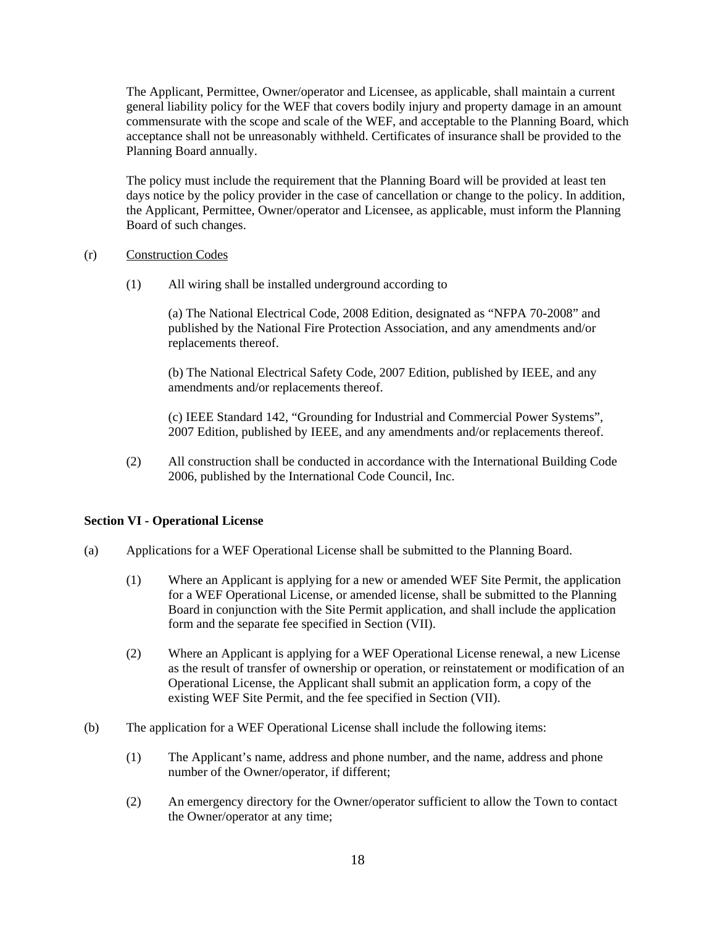The Applicant, Permittee, Owner/operator and Licensee, as applicable, shall maintain a current general liability policy for the WEF that covers bodily injury and property damage in an amount commensurate with the scope and scale of the WEF, and acceptable to the Planning Board, which acceptance shall not be unreasonably withheld. Certificates of insurance shall be provided to the Planning Board annually.

The policy must include the requirement that the Planning Board will be provided at least ten days notice by the policy provider in the case of cancellation or change to the policy. In addition, the Applicant, Permittee, Owner/operator and Licensee, as applicable, must inform the Planning Board of such changes.

- (r) Construction Codes
	- (1) All wiring shall be installed underground according to

 (a) The National Electrical Code, 2008 Edition, designated as "NFPA 70-2008" and published by the National Fire Protection Association, and any amendments and/or replacements thereof.

 (b) The National Electrical Safety Code, 2007 Edition, published by IEEE, and any amendments and/or replacements thereof.

 (c) IEEE Standard 142, "Grounding for Industrial and Commercial Power Systems", 2007 Edition, published by IEEE, and any amendments and/or replacements thereof.

(2) All construction shall be conducted in accordance with the International Building Code 2006, published by the International Code Council, Inc.

#### **Section VI - Operational License**

- (a) Applications for a WEF Operational License shall be submitted to the Planning Board.
	- (1) Where an Applicant is applying for a new or amended WEF Site Permit, the application for a WEF Operational License, or amended license, shall be submitted to the Planning Board in conjunction with the Site Permit application, and shall include the application form and the separate fee specified in Section (VII).
	- (2) Where an Applicant is applying for a WEF Operational License renewal, a new License as the result of transfer of ownership or operation, or reinstatement or modification of an Operational License, the Applicant shall submit an application form, a copy of the existing WEF Site Permit, and the fee specified in Section (VII).
- (b) The application for a WEF Operational License shall include the following items:
	- (1) The Applicant's name, address and phone number, and the name, address and phone number of the Owner/operator, if different;
	- (2) An emergency directory for the Owner/operator sufficient to allow the Town to contact the Owner/operator at any time;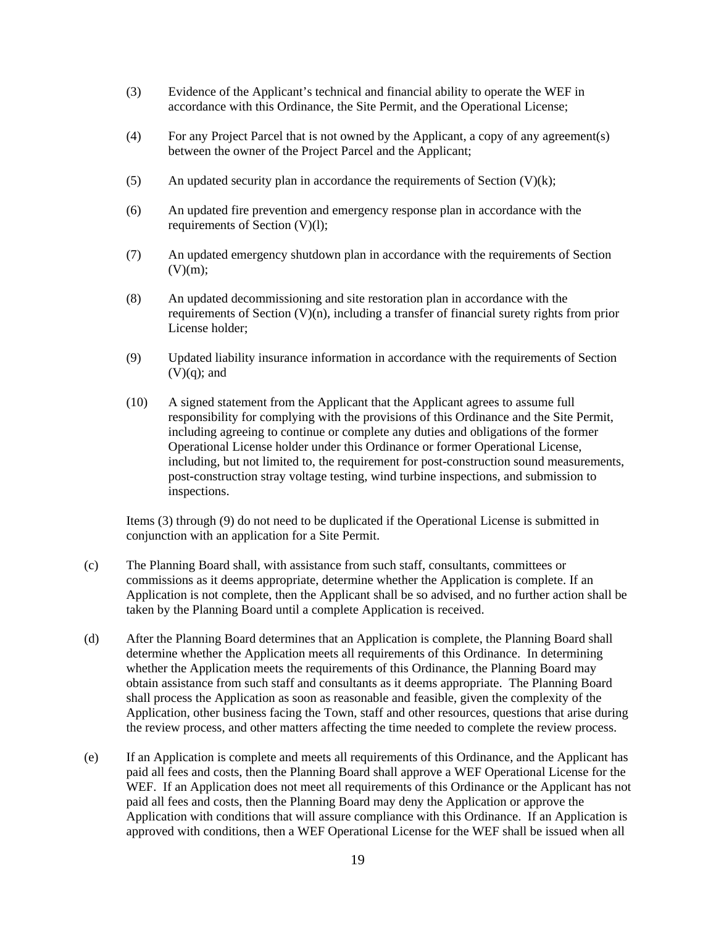- (3) Evidence of the Applicant's technical and financial ability to operate the WEF in accordance with this Ordinance, the Site Permit, and the Operational License;
- (4) For any Project Parcel that is not owned by the Applicant, a copy of any agreement(s) between the owner of the Project Parcel and the Applicant;
- (5) An updated security plan in accordance the requirements of Section  $(V)(k)$ ;
- (6) An updated fire prevention and emergency response plan in accordance with the requirements of Section (V)(l);
- (7) An updated emergency shutdown plan in accordance with the requirements of Section  $(V)(m);$
- (8) An updated decommissioning and site restoration plan in accordance with the requirements of Section (V)(n), including a transfer of financial surety rights from prior License holder;
- (9) Updated liability insurance information in accordance with the requirements of Section  $(V)(q)$ ; and
- (10) A signed statement from the Applicant that the Applicant agrees to assume full responsibility for complying with the provisions of this Ordinance and the Site Permit, including agreeing to continue or complete any duties and obligations of the former Operational License holder under this Ordinance or former Operational License, including, but not limited to, the requirement for post-construction sound measurements, post-construction stray voltage testing, wind turbine inspections, and submission to inspections.

Items (3) through (9) do not need to be duplicated if the Operational License is submitted in conjunction with an application for a Site Permit.

- (c) The Planning Board shall, with assistance from such staff, consultants, committees or commissions as it deems appropriate, determine whether the Application is complete. If an Application is not complete, then the Applicant shall be so advised, and no further action shall be taken by the Planning Board until a complete Application is received.
- (d) After the Planning Board determines that an Application is complete, the Planning Board shall determine whether the Application meets all requirements of this Ordinance. In determining whether the Application meets the requirements of this Ordinance, the Planning Board may obtain assistance from such staff and consultants as it deems appropriate. The Planning Board shall process the Application as soon as reasonable and feasible, given the complexity of the Application, other business facing the Town, staff and other resources, questions that arise during the review process, and other matters affecting the time needed to complete the review process.
- (e) If an Application is complete and meets all requirements of this Ordinance, and the Applicant has paid all fees and costs, then the Planning Board shall approve a WEF Operational License for the WEF. If an Application does not meet all requirements of this Ordinance or the Applicant has not paid all fees and costs, then the Planning Board may deny the Application or approve the Application with conditions that will assure compliance with this Ordinance. If an Application is approved with conditions, then a WEF Operational License for the WEF shall be issued when all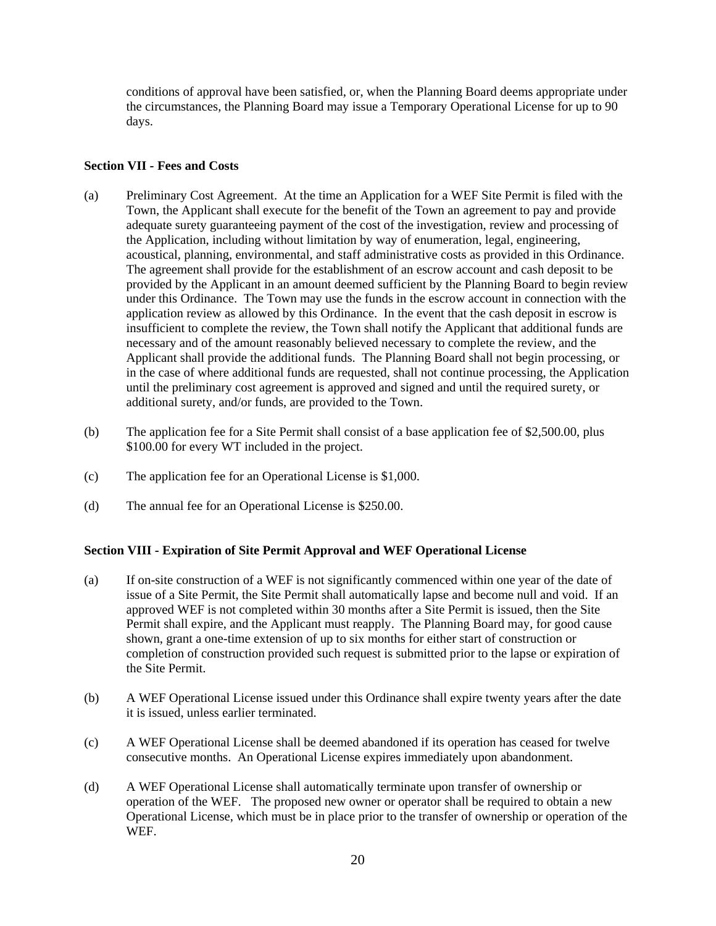conditions of approval have been satisfied, or, when the Planning Board deems appropriate under the circumstances, the Planning Board may issue a Temporary Operational License for up to 90 days.

### **Section VII - Fees and Costs**

- (a) Preliminary Cost Agreement. At the time an Application for a WEF Site Permit is filed with the Town, the Applicant shall execute for the benefit of the Town an agreement to pay and provide adequate surety guaranteeing payment of the cost of the investigation, review and processing of the Application, including without limitation by way of enumeration, legal, engineering, acoustical, planning, environmental, and staff administrative costs as provided in this Ordinance. The agreement shall provide for the establishment of an escrow account and cash deposit to be provided by the Applicant in an amount deemed sufficient by the Planning Board to begin review under this Ordinance. The Town may use the funds in the escrow account in connection with the application review as allowed by this Ordinance. In the event that the cash deposit in escrow is insufficient to complete the review, the Town shall notify the Applicant that additional funds are necessary and of the amount reasonably believed necessary to complete the review, and the Applicant shall provide the additional funds. The Planning Board shall not begin processing, or in the case of where additional funds are requested, shall not continue processing, the Application until the preliminary cost agreement is approved and signed and until the required surety, or additional surety, and/or funds, are provided to the Town.
- (b) The application fee for a Site Permit shall consist of a base application fee of \$2,500.00, plus \$100.00 for every WT included in the project.
- (c) The application fee for an Operational License is \$1,000.
- (d) The annual fee for an Operational License is \$250.00.

## **Section VIII - Expiration of Site Permit Approval and WEF Operational License**

- (a) If on-site construction of a WEF is not significantly commenced within one year of the date of issue of a Site Permit, the Site Permit shall automatically lapse and become null and void. If an approved WEF is not completed within 30 months after a Site Permit is issued, then the Site Permit shall expire, and the Applicant must reapply. The Planning Board may, for good cause shown, grant a one-time extension of up to six months for either start of construction or completion of construction provided such request is submitted prior to the lapse or expiration of the Site Permit.
- (b) A WEF Operational License issued under this Ordinance shall expire twenty years after the date it is issued, unless earlier terminated.
- (c) A WEF Operational License shall be deemed abandoned if its operation has ceased for twelve consecutive months. An Operational License expires immediately upon abandonment.
- (d) A WEF Operational License shall automatically terminate upon transfer of ownership or operation of the WEF. The proposed new owner or operator shall be required to obtain a new Operational License, which must be in place prior to the transfer of ownership or operation of the WEF.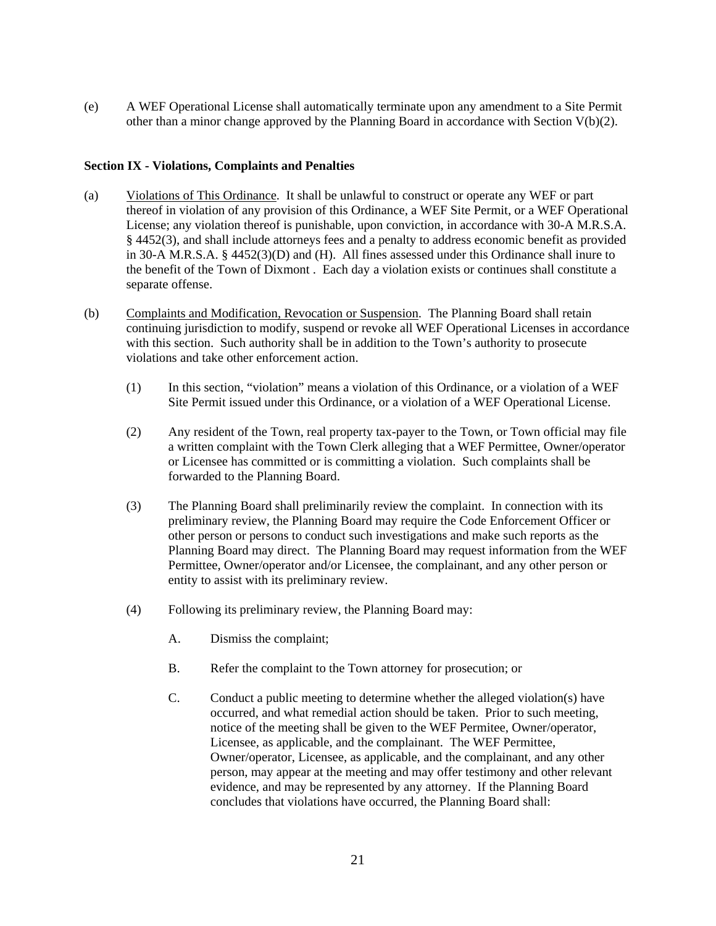(e) A WEF Operational License shall automatically terminate upon any amendment to a Site Permit other than a minor change approved by the Planning Board in accordance with Section  $V(b)(2)$ .

#### **Section IX - Violations, Complaints and Penalties**

- (a) Violations of This Ordinance. It shall be unlawful to construct or operate any WEF or part thereof in violation of any provision of this Ordinance, a WEF Site Permit, or a WEF Operational License; any violation thereof is punishable, upon conviction, in accordance with 30-A M.R.S.A. § 4452(3), and shall include attorneys fees and a penalty to address economic benefit as provided in 30-A M.R.S.A. § 4452(3)(D) and (H). All fines assessed under this Ordinance shall inure to the benefit of the Town of Dixmont . Each day a violation exists or continues shall constitute a separate offense.
- (b) Complaints and Modification, Revocation or Suspension. The Planning Board shall retain continuing jurisdiction to modify, suspend or revoke all WEF Operational Licenses in accordance with this section. Such authority shall be in addition to the Town's authority to prosecute violations and take other enforcement action.
	- (1) In this section, "violation" means a violation of this Ordinance, or a violation of a WEF Site Permit issued under this Ordinance, or a violation of a WEF Operational License.
	- (2) Any resident of the Town, real property tax-payer to the Town, or Town official may file a written complaint with the Town Clerk alleging that a WEF Permittee, Owner/operator or Licensee has committed or is committing a violation. Such complaints shall be forwarded to the Planning Board.
	- (3) The Planning Board shall preliminarily review the complaint. In connection with its preliminary review, the Planning Board may require the Code Enforcement Officer or other person or persons to conduct such investigations and make such reports as the Planning Board may direct. The Planning Board may request information from the WEF Permittee, Owner/operator and/or Licensee, the complainant, and any other person or entity to assist with its preliminary review.
	- (4) Following its preliminary review, the Planning Board may:
		- A. Dismiss the complaint;
		- B. Refer the complaint to the Town attorney for prosecution; or
		- C. Conduct a public meeting to determine whether the alleged violation(s) have occurred, and what remedial action should be taken. Prior to such meeting, notice of the meeting shall be given to the WEF Permitee, Owner/operator, Licensee, as applicable, and the complainant. The WEF Permittee, Owner/operator, Licensee, as applicable, and the complainant, and any other person, may appear at the meeting and may offer testimony and other relevant evidence, and may be represented by any attorney. If the Planning Board concludes that violations have occurred, the Planning Board shall: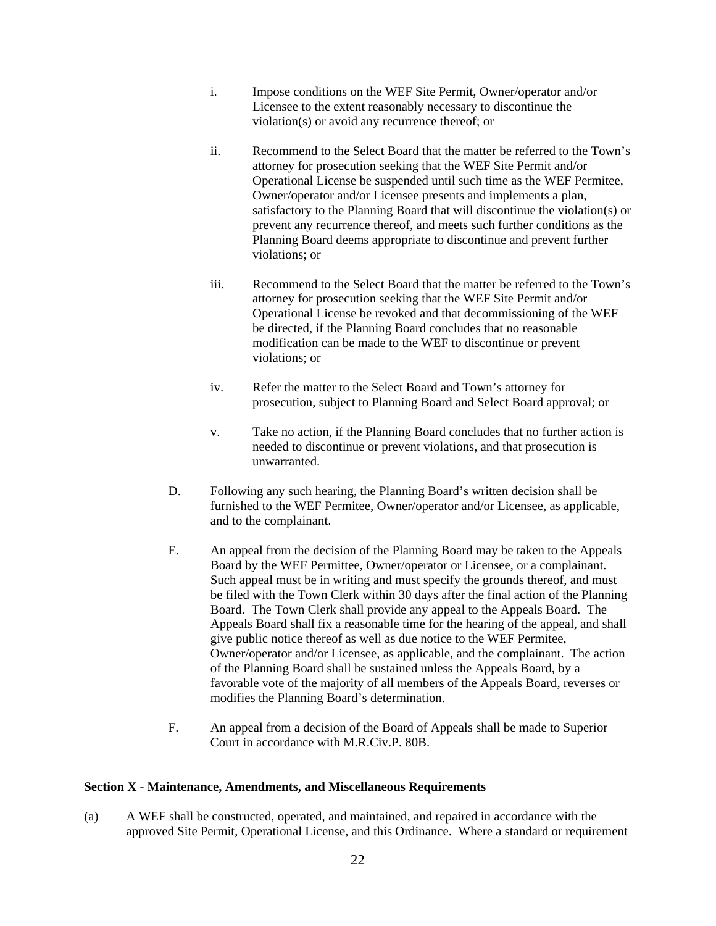- i. Impose conditions on the WEF Site Permit, Owner/operator and/or Licensee to the extent reasonably necessary to discontinue the violation(s) or avoid any recurrence thereof; or
- ii. Recommend to the Select Board that the matter be referred to the Town's attorney for prosecution seeking that the WEF Site Permit and/or Operational License be suspended until such time as the WEF Permitee, Owner/operator and/or Licensee presents and implements a plan, satisfactory to the Planning Board that will discontinue the violation(s) or prevent any recurrence thereof, and meets such further conditions as the Planning Board deems appropriate to discontinue and prevent further violations; or
- iii. Recommend to the Select Board that the matter be referred to the Town's attorney for prosecution seeking that the WEF Site Permit and/or Operational License be revoked and that decommissioning of the WEF be directed, if the Planning Board concludes that no reasonable modification can be made to the WEF to discontinue or prevent violations; or
- iv. Refer the matter to the Select Board and Town's attorney for prosecution, subject to Planning Board and Select Board approval; or
- v. Take no action, if the Planning Board concludes that no further action is needed to discontinue or prevent violations, and that prosecution is unwarranted.
- D. Following any such hearing, the Planning Board's written decision shall be furnished to the WEF Permitee, Owner/operator and/or Licensee, as applicable, and to the complainant.
- E. An appeal from the decision of the Planning Board may be taken to the Appeals Board by the WEF Permittee, Owner/operator or Licensee, or a complainant. Such appeal must be in writing and must specify the grounds thereof, and must be filed with the Town Clerk within 30 days after the final action of the Planning Board. The Town Clerk shall provide any appeal to the Appeals Board. The Appeals Board shall fix a reasonable time for the hearing of the appeal, and shall give public notice thereof as well as due notice to the WEF Permitee, Owner/operator and/or Licensee, as applicable, and the complainant. The action of the Planning Board shall be sustained unless the Appeals Board, by a favorable vote of the majority of all members of the Appeals Board, reverses or modifies the Planning Board's determination.
- F. An appeal from a decision of the Board of Appeals shall be made to Superior Court in accordance with M.R.Civ.P. 80B.

## **Section X - Maintenance, Amendments, and Miscellaneous Requirements**

(a) A WEF shall be constructed, operated, and maintained, and repaired in accordance with the approved Site Permit, Operational License, and this Ordinance. Where a standard or requirement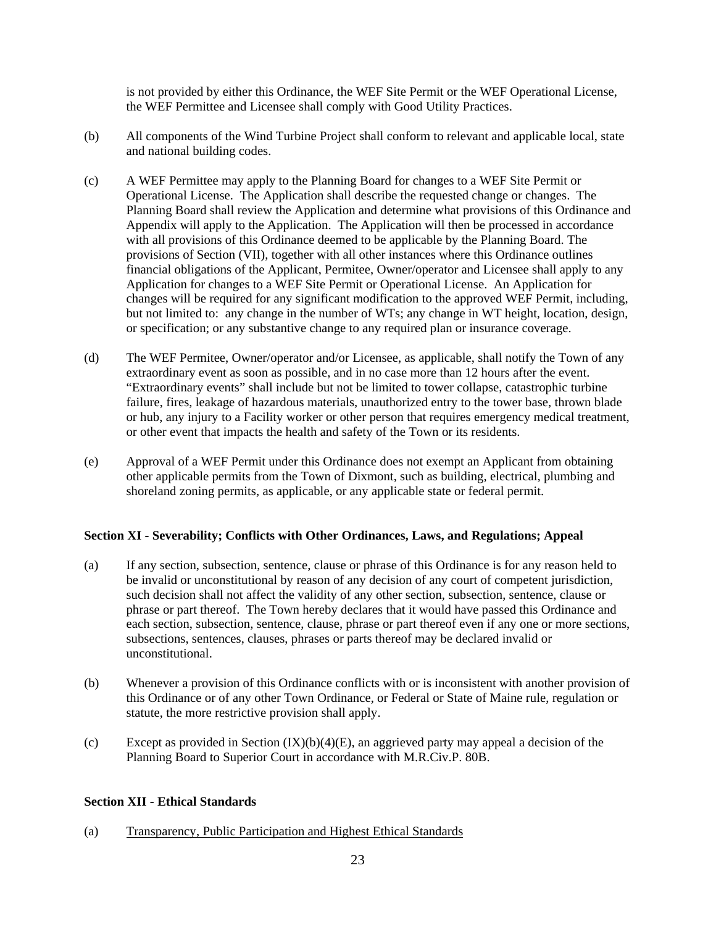is not provided by either this Ordinance, the WEF Site Permit or the WEF Operational License, the WEF Permittee and Licensee shall comply with Good Utility Practices.

- (b) All components of the Wind Turbine Project shall conform to relevant and applicable local, state and national building codes.
- (c) A WEF Permittee may apply to the Planning Board for changes to a WEF Site Permit or Operational License. The Application shall describe the requested change or changes. The Planning Board shall review the Application and determine what provisions of this Ordinance and Appendix will apply to the Application. The Application will then be processed in accordance with all provisions of this Ordinance deemed to be applicable by the Planning Board. The provisions of Section (VII), together with all other instances where this Ordinance outlines financial obligations of the Applicant, Permitee, Owner/operator and Licensee shall apply to any Application for changes to a WEF Site Permit or Operational License. An Application for changes will be required for any significant modification to the approved WEF Permit, including, but not limited to: any change in the number of WTs; any change in WT height, location, design, or specification; or any substantive change to any required plan or insurance coverage.
- (d) The WEF Permitee, Owner/operator and/or Licensee, as applicable, shall notify the Town of any extraordinary event as soon as possible, and in no case more than 12 hours after the event. "Extraordinary events" shall include but not be limited to tower collapse, catastrophic turbine failure, fires, leakage of hazardous materials, unauthorized entry to the tower base, thrown blade or hub, any injury to a Facility worker or other person that requires emergency medical treatment, or other event that impacts the health and safety of the Town or its residents.
- (e) Approval of a WEF Permit under this Ordinance does not exempt an Applicant from obtaining other applicable permits from the Town of Dixmont, such as building, electrical, plumbing and shoreland zoning permits, as applicable, or any applicable state or federal permit.

#### **Section XI - Severability; Conflicts with Other Ordinances, Laws, and Regulations; Appeal**

- (a) If any section, subsection, sentence, clause or phrase of this Ordinance is for any reason held to be invalid or unconstitutional by reason of any decision of any court of competent jurisdiction, such decision shall not affect the validity of any other section, subsection, sentence, clause or phrase or part thereof. The Town hereby declares that it would have passed this Ordinance and each section, subsection, sentence, clause, phrase or part thereof even if any one or more sections, subsections, sentences, clauses, phrases or parts thereof may be declared invalid or unconstitutional.
- (b) Whenever a provision of this Ordinance conflicts with or is inconsistent with another provision of this Ordinance or of any other Town Ordinance, or Federal or State of Maine rule, regulation or statute, the more restrictive provision shall apply.
- (c) Except as provided in Section  $(IX)(b)(4)(E)$ , an aggrieved party may appeal a decision of the Planning Board to Superior Court in accordance with M.R.Civ.P. 80B.

#### **Section XII - Ethical Standards**

(a) Transparency, Public Participation and Highest Ethical Standards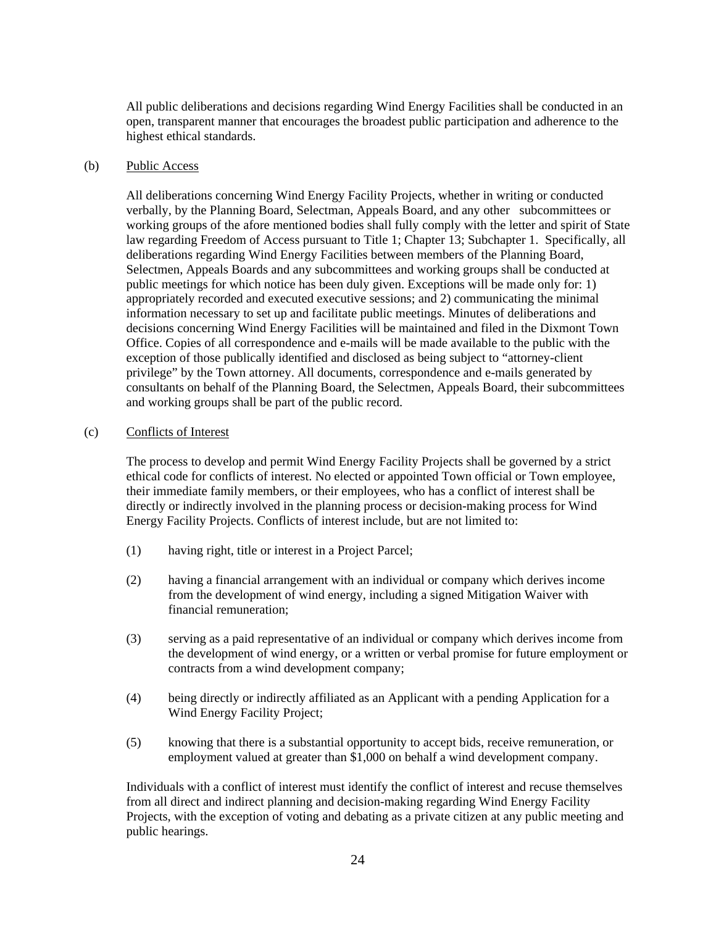All public deliberations and decisions regarding Wind Energy Facilities shall be conducted in an open, transparent manner that encourages the broadest public participation and adherence to the highest ethical standards.

### (b) Public Access

All deliberations concerning Wind Energy Facility Projects, whether in writing or conducted verbally, by the Planning Board, Selectman, Appeals Board, and any other subcommittees or working groups of the afore mentioned bodies shall fully comply with the letter and spirit of State law regarding Freedom of Access pursuant to Title 1; Chapter 13; Subchapter 1. Specifically, all deliberations regarding Wind Energy Facilities between members of the Planning Board, Selectmen, Appeals Boards and any subcommittees and working groups shall be conducted at public meetings for which notice has been duly given. Exceptions will be made only for: 1) appropriately recorded and executed executive sessions; and 2) communicating the minimal information necessary to set up and facilitate public meetings. Minutes of deliberations and decisions concerning Wind Energy Facilities will be maintained and filed in the Dixmont Town Office. Copies of all correspondence and e-mails will be made available to the public with the exception of those publically identified and disclosed as being subject to "attorney-client privilege" by the Town attorney. All documents, correspondence and e-mails generated by consultants on behalf of the Planning Board, the Selectmen, Appeals Board, their subcommittees and working groups shall be part of the public record.

## (c) Conflicts of Interest

The process to develop and permit Wind Energy Facility Projects shall be governed by a strict ethical code for conflicts of interest. No elected or appointed Town official or Town employee, their immediate family members, or their employees, who has a conflict of interest shall be directly or indirectly involved in the planning process or decision-making process for Wind Energy Facility Projects. Conflicts of interest include, but are not limited to:

- (1) having right, title or interest in a Project Parcel;
- (2) having a financial arrangement with an individual or company which derives income from the development of wind energy, including a signed Mitigation Waiver with financial remuneration;
- (3) serving as a paid representative of an individual or company which derives income from the development of wind energy, or a written or verbal promise for future employment or contracts from a wind development company;
- (4) being directly or indirectly affiliated as an Applicant with a pending Application for a Wind Energy Facility Project;
- (5) knowing that there is a substantial opportunity to accept bids, receive remuneration, or employment valued at greater than \$1,000 on behalf a wind development company.

Individuals with a conflict of interest must identify the conflict of interest and recuse themselves from all direct and indirect planning and decision-making regarding Wind Energy Facility Projects, with the exception of voting and debating as a private citizen at any public meeting and public hearings.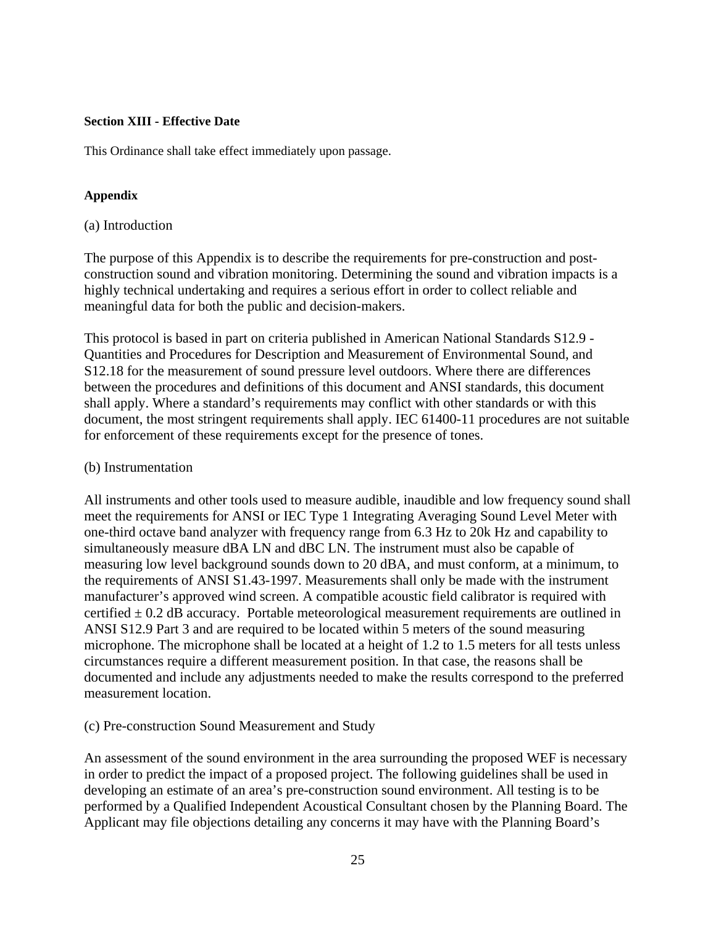## **Section XIII - Effective Date**

This Ordinance shall take effect immediately upon passage.

## **Appendix**

## (a) Introduction

The purpose of this Appendix is to describe the requirements for pre-construction and postconstruction sound and vibration monitoring. Determining the sound and vibration impacts is a highly technical undertaking and requires a serious effort in order to collect reliable and meaningful data for both the public and decision-makers.

This protocol is based in part on criteria published in American National Standards S12.9 - Quantities and Procedures for Description and Measurement of Environmental Sound, and S12.18 for the measurement of sound pressure level outdoors. Where there are differences between the procedures and definitions of this document and ANSI standards, this document shall apply. Where a standard's requirements may conflict with other standards or with this document, the most stringent requirements shall apply. IEC 61400-11 procedures are not suitable for enforcement of these requirements except for the presence of tones.

## (b) Instrumentation

All instruments and other tools used to measure audible, inaudible and low frequency sound shall meet the requirements for ANSI or IEC Type 1 Integrating Averaging Sound Level Meter with one-third octave band analyzer with frequency range from 6.3 Hz to 20k Hz and capability to simultaneously measure dBA LN and dBC LN. The instrument must also be capable of measuring low level background sounds down to 20 dBA, and must conform, at a minimum, to the requirements of ANSI S1.43-1997. Measurements shall only be made with the instrument manufacturer's approved wind screen. A compatible acoustic field calibrator is required with certified  $\pm$  0.2 dB accuracy. Portable meteorological measurement requirements are outlined in ANSI S12.9 Part 3 and are required to be located within 5 meters of the sound measuring microphone. The microphone shall be located at a height of 1.2 to 1.5 meters for all tests unless circumstances require a different measurement position. In that case, the reasons shall be documented and include any adjustments needed to make the results correspond to the preferred measurement location.

## (c) Pre-construction Sound Measurement and Study

An assessment of the sound environment in the area surrounding the proposed WEF is necessary in order to predict the impact of a proposed project. The following guidelines shall be used in developing an estimate of an area's pre-construction sound environment. All testing is to be performed by a Qualified Independent Acoustical Consultant chosen by the Planning Board. The Applicant may file objections detailing any concerns it may have with the Planning Board's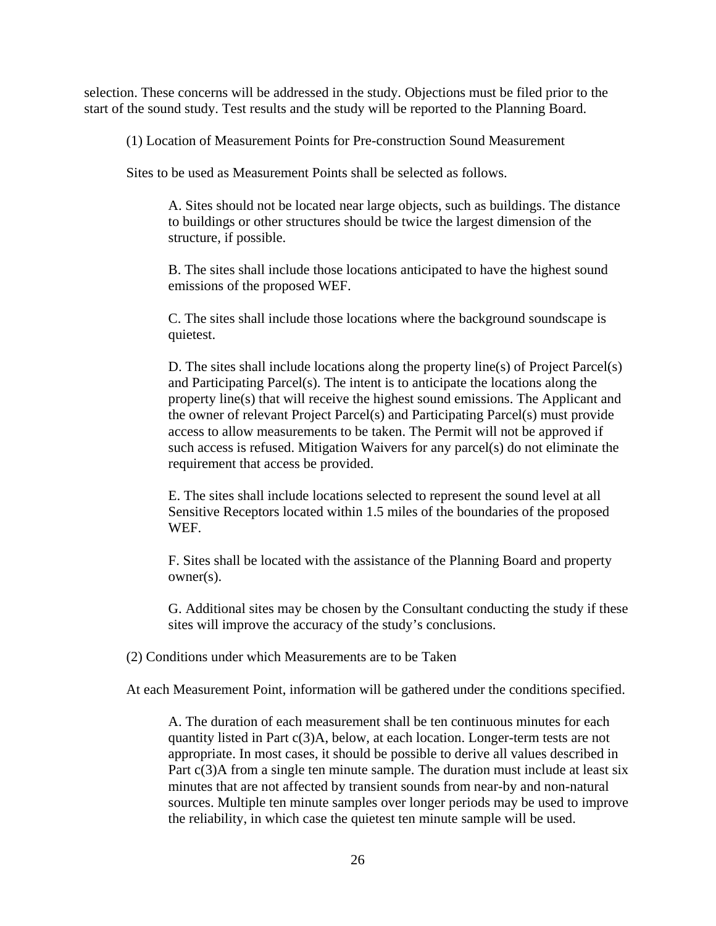selection. These concerns will be addressed in the study. Objections must be filed prior to the start of the sound study. Test results and the study will be reported to the Planning Board.

(1) Location of Measurement Points for Pre-construction Sound Measurement

Sites to be used as Measurement Points shall be selected as follows.

A. Sites should not be located near large objects, such as buildings. The distance to buildings or other structures should be twice the largest dimension of the structure, if possible.

B. The sites shall include those locations anticipated to have the highest sound emissions of the proposed WEF.

C. The sites shall include those locations where the background soundscape is quietest.

D. The sites shall include locations along the property line(s) of Project Parcel(s) and Participating Parcel(s). The intent is to anticipate the locations along the property line(s) that will receive the highest sound emissions. The Applicant and the owner of relevant Project Parcel(s) and Participating Parcel(s) must provide access to allow measurements to be taken. The Permit will not be approved if such access is refused. Mitigation Waivers for any parcel(s) do not eliminate the requirement that access be provided.

E. The sites shall include locations selected to represent the sound level at all Sensitive Receptors located within 1.5 miles of the boundaries of the proposed WEF.

F. Sites shall be located with the assistance of the Planning Board and property owner(s).

G. Additional sites may be chosen by the Consultant conducting the study if these sites will improve the accuracy of the study's conclusions.

(2) Conditions under which Measurements are to be Taken

At each Measurement Point, information will be gathered under the conditions specified.

A. The duration of each measurement shall be ten continuous minutes for each quantity listed in Part c(3)A, below, at each location. Longer-term tests are not appropriate. In most cases, it should be possible to derive all values described in Part c(3)A from a single ten minute sample. The duration must include at least six minutes that are not affected by transient sounds from near-by and non-natural sources. Multiple ten minute samples over longer periods may be used to improve the reliability, in which case the quietest ten minute sample will be used.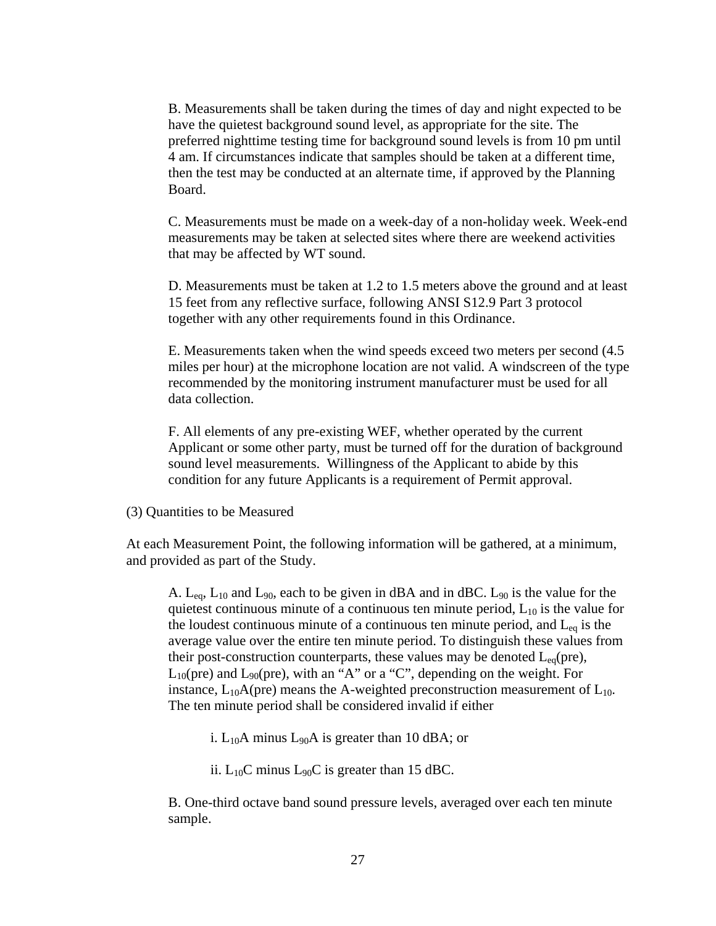B. Measurements shall be taken during the times of day and night expected to be have the quietest background sound level, as appropriate for the site. The preferred nighttime testing time for background sound levels is from 10 pm until 4 am. If circumstances indicate that samples should be taken at a different time, then the test may be conducted at an alternate time, if approved by the Planning Board.

C. Measurements must be made on a week-day of a non-holiday week. Week-end measurements may be taken at selected sites where there are weekend activities that may be affected by WT sound.

D. Measurements must be taken at 1.2 to 1.5 meters above the ground and at least 15 feet from any reflective surface, following ANSI S12.9 Part 3 protocol together with any other requirements found in this Ordinance.

E. Measurements taken when the wind speeds exceed two meters per second (4.5 miles per hour) at the microphone location are not valid. A windscreen of the type recommended by the monitoring instrument manufacturer must be used for all data collection.

F. All elements of any pre-existing WEF, whether operated by the current Applicant or some other party, must be turned off for the duration of background sound level measurements. Willingness of the Applicant to abide by this condition for any future Applicants is a requirement of Permit approval.

(3) Quantities to be Measured

At each Measurement Point, the following information will be gathered, at a minimum, and provided as part of the Study.

A.  $L_{eq}$ ,  $L_{10}$  and  $L_{90}$ , each to be given in dBA and in dBC.  $L_{90}$  is the value for the quietest continuous minute of a continuous ten minute period,  $L_{10}$  is the value for the loudest continuous minute of a continuous ten minute period, and  $L_{eq}$  is the average value over the entire ten minute period. To distinguish these values from their post-construction counterparts, these values may be denoted  $L_{eq}(pre)$ ,  $L_{10}(pre)$  and  $L_{90}(pre)$ , with an "A" or a "C", depending on the weight. For instance,  $L_{10}A$ (pre) means the A-weighted preconstruction measurement of  $L_{10}$ . The ten minute period shall be considered invalid if either

i.  $L_{10}A$  minus  $L_{90}A$  is greater than 10 dBA; or

ii.  $L_{10}C$  minus  $L_{90}C$  is greater than 15 dBC.

B. One-third octave band sound pressure levels, averaged over each ten minute sample.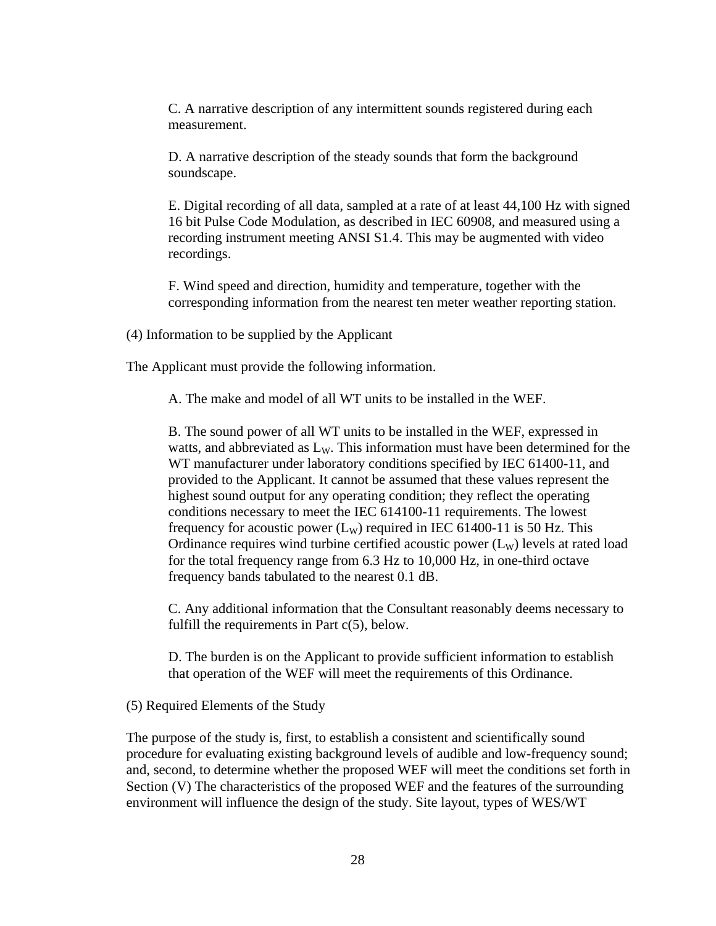C. A narrative description of any intermittent sounds registered during each measurement.

D. A narrative description of the steady sounds that form the background soundscape.

E. Digital recording of all data, sampled at a rate of at least 44,100 Hz with signed 16 bit Pulse Code Modulation, as described in IEC 60908, and measured using a recording instrument meeting ANSI S1.4. This may be augmented with video recordings.

F. Wind speed and direction, humidity and temperature, together with the corresponding information from the nearest ten meter weather reporting station.

(4) Information to be supplied by the Applicant

The Applicant must provide the following information.

A. The make and model of all WT units to be installed in the WEF.

B. The sound power of all WT units to be installed in the WEF, expressed in watts, and abbreviated as  $L<sub>W</sub>$ . This information must have been determined for the WT manufacturer under laboratory conditions specified by IEC 61400-11, and provided to the Applicant. It cannot be assumed that these values represent the highest sound output for any operating condition; they reflect the operating conditions necessary to meet the IEC 614100-11 requirements. The lowest frequency for acoustic power  $(L_W)$  required in IEC 61400-11 is 50 Hz. This Ordinance requires wind turbine certified acoustic power  $(L<sub>W</sub>)$  levels at rated load for the total frequency range from 6.3 Hz to 10,000 Hz, in one-third octave frequency bands tabulated to the nearest 0.1 dB.

C. Any additional information that the Consultant reasonably deems necessary to fulfill the requirements in Part  $c(5)$ , below.

D. The burden is on the Applicant to provide sufficient information to establish that operation of the WEF will meet the requirements of this Ordinance.

(5) Required Elements of the Study

The purpose of the study is, first, to establish a consistent and scientifically sound procedure for evaluating existing background levels of audible and low-frequency sound; and, second, to determine whether the proposed WEF will meet the conditions set forth in Section (V) The characteristics of the proposed WEF and the features of the surrounding environment will influence the design of the study. Site layout, types of WES/WT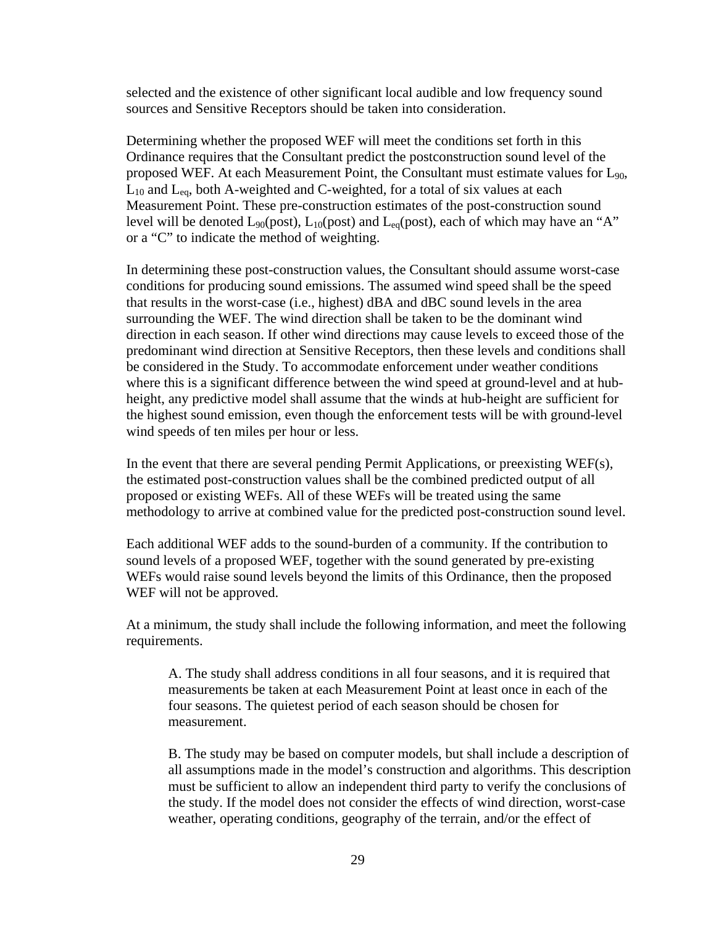selected and the existence of other significant local audible and low frequency sound sources and Sensitive Receptors should be taken into consideration.

Determining whether the proposed WEF will meet the conditions set forth in this Ordinance requires that the Consultant predict the postconstruction sound level of the proposed WEF. At each Measurement Point, the Consultant must estimate values for  $L_{90}$ ,  $L_{10}$  and  $L_{eq}$ , both A-weighted and C-weighted, for a total of six values at each Measurement Point. These pre-construction estimates of the post-construction sound level will be denoted  $L_{90}(\text{post})$ ,  $L_{10}(\text{post})$  and  $L_{eq}(\text{post})$ , each of which may have an "A" or a "C" to indicate the method of weighting.

In determining these post-construction values, the Consultant should assume worst-case conditions for producing sound emissions. The assumed wind speed shall be the speed that results in the worst-case (i.e., highest) dBA and dBC sound levels in the area surrounding the WEF. The wind direction shall be taken to be the dominant wind direction in each season. If other wind directions may cause levels to exceed those of the predominant wind direction at Sensitive Receptors, then these levels and conditions shall be considered in the Study. To accommodate enforcement under weather conditions where this is a significant difference between the wind speed at ground-level and at hubheight, any predictive model shall assume that the winds at hub-height are sufficient for the highest sound emission, even though the enforcement tests will be with ground-level wind speeds of ten miles per hour or less.

In the event that there are several pending Permit Applications, or preexisting  $WEF(s)$ , the estimated post-construction values shall be the combined predicted output of all proposed or existing WEFs. All of these WEFs will be treated using the same methodology to arrive at combined value for the predicted post-construction sound level.

Each additional WEF adds to the sound-burden of a community. If the contribution to sound levels of a proposed WEF, together with the sound generated by pre-existing WEFs would raise sound levels beyond the limits of this Ordinance, then the proposed WEF will not be approved.

At a minimum, the study shall include the following information, and meet the following requirements.

A. The study shall address conditions in all four seasons, and it is required that measurements be taken at each Measurement Point at least once in each of the four seasons. The quietest period of each season should be chosen for measurement.

B. The study may be based on computer models, but shall include a description of all assumptions made in the model's construction and algorithms. This description must be sufficient to allow an independent third party to verify the conclusions of the study. If the model does not consider the effects of wind direction, worst-case weather, operating conditions, geography of the terrain, and/or the effect of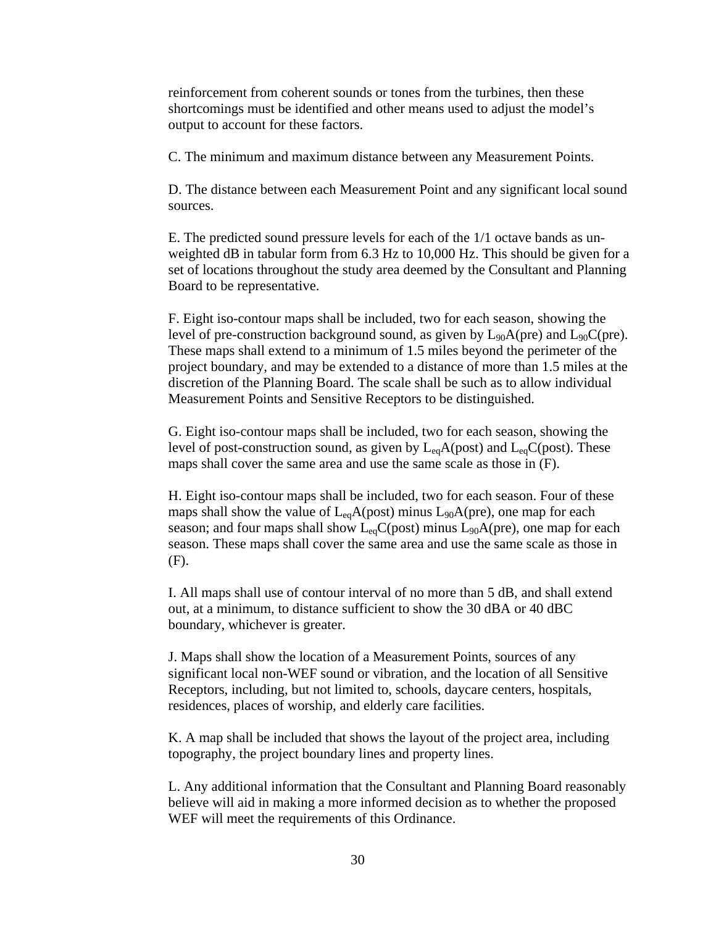reinforcement from coherent sounds or tones from the turbines, then these shortcomings must be identified and other means used to adjust the model's output to account for these factors.

C. The minimum and maximum distance between any Measurement Points.

D. The distance between each Measurement Point and any significant local sound sources.

E. The predicted sound pressure levels for each of the 1/1 octave bands as unweighted dB in tabular form from 6.3 Hz to 10,000 Hz. This should be given for a set of locations throughout the study area deemed by the Consultant and Planning Board to be representative.

F. Eight iso-contour maps shall be included, two for each season, showing the level of pre-construction background sound, as given by  $L_{90}A$ (pre) and  $L_{90}C$ (pre). These maps shall extend to a minimum of 1.5 miles beyond the perimeter of the project boundary, and may be extended to a distance of more than 1.5 miles at the discretion of the Planning Board. The scale shall be such as to allow individual Measurement Points and Sensitive Receptors to be distinguished.

G. Eight iso-contour maps shall be included, two for each season, showing the level of post-construction sound, as given by  $L_{eq}A(post)$  and  $L_{eq}C(post)$ . These maps shall cover the same area and use the same scale as those in (F).

H. Eight iso-contour maps shall be included, two for each season. Four of these maps shall show the value of  $L_{eq}A(post)$  minus  $L_{90}A(pre)$ , one map for each season; and four maps shall show  $L_{eq}C(post)$  minus  $L_{90}A(pre)$ , one map for each season. These maps shall cover the same area and use the same scale as those in (F).

I. All maps shall use of contour interval of no more than 5 dB, and shall extend out, at a minimum, to distance sufficient to show the 30 dBA or 40 dBC boundary, whichever is greater.

J. Maps shall show the location of a Measurement Points, sources of any significant local non-WEF sound or vibration, and the location of all Sensitive Receptors, including, but not limited to, schools, daycare centers, hospitals, residences, places of worship, and elderly care facilities.

K. A map shall be included that shows the layout of the project area, including topography, the project boundary lines and property lines.

L. Any additional information that the Consultant and Planning Board reasonably believe will aid in making a more informed decision as to whether the proposed WEF will meet the requirements of this Ordinance.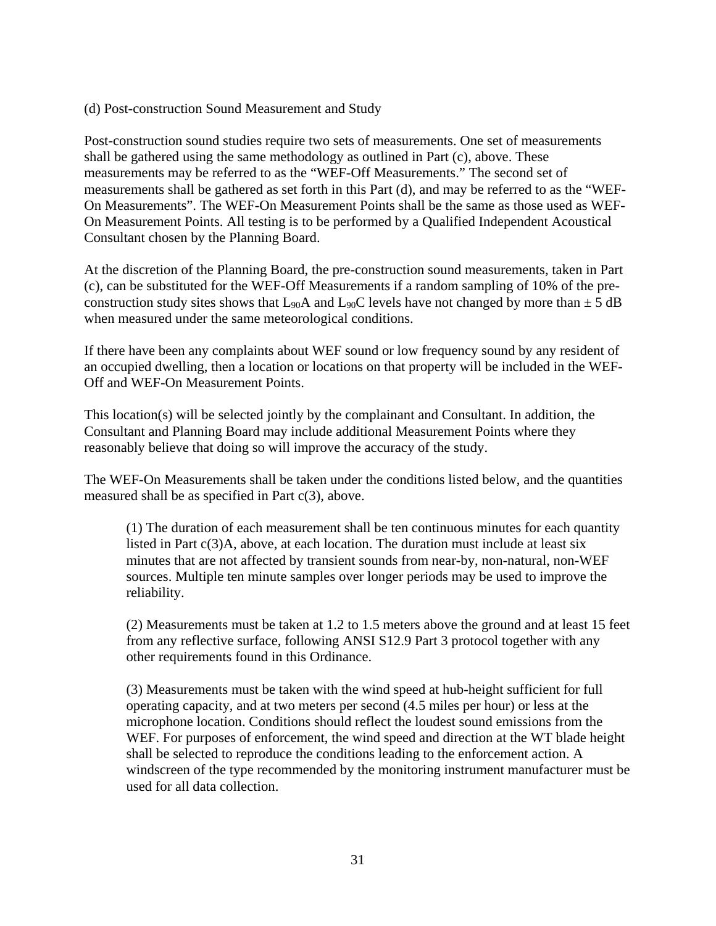## (d) Post-construction Sound Measurement and Study

Post-construction sound studies require two sets of measurements. One set of measurements shall be gathered using the same methodology as outlined in Part (c), above. These measurements may be referred to as the "WEF-Off Measurements." The second set of measurements shall be gathered as set forth in this Part (d), and may be referred to as the "WEF-On Measurements". The WEF-On Measurement Points shall be the same as those used as WEF-On Measurement Points. All testing is to be performed by a Qualified Independent Acoustical Consultant chosen by the Planning Board.

At the discretion of the Planning Board, the pre-construction sound measurements, taken in Part (c), can be substituted for the WEF-Off Measurements if a random sampling of 10% of the preconstruction study sites shows that  $L_{90}A$  and  $L_{90}C$  levels have not changed by more than  $\pm 5$  dB when measured under the same meteorological conditions.

If there have been any complaints about WEF sound or low frequency sound by any resident of an occupied dwelling, then a location or locations on that property will be included in the WEF-Off and WEF-On Measurement Points.

This location(s) will be selected jointly by the complainant and Consultant. In addition, the Consultant and Planning Board may include additional Measurement Points where they reasonably believe that doing so will improve the accuracy of the study.

The WEF-On Measurements shall be taken under the conditions listed below, and the quantities measured shall be as specified in Part  $c(3)$ , above.

(1) The duration of each measurement shall be ten continuous minutes for each quantity listed in Part c(3)A, above, at each location. The duration must include at least six minutes that are not affected by transient sounds from near-by, non-natural, non-WEF sources. Multiple ten minute samples over longer periods may be used to improve the reliability.

(2) Measurements must be taken at 1.2 to 1.5 meters above the ground and at least 15 feet from any reflective surface, following ANSI S12.9 Part 3 protocol together with any other requirements found in this Ordinance.

(3) Measurements must be taken with the wind speed at hub-height sufficient for full operating capacity, and at two meters per second (4.5 miles per hour) or less at the microphone location. Conditions should reflect the loudest sound emissions from the WEF. For purposes of enforcement, the wind speed and direction at the WT blade height shall be selected to reproduce the conditions leading to the enforcement action. A windscreen of the type recommended by the monitoring instrument manufacturer must be used for all data collection.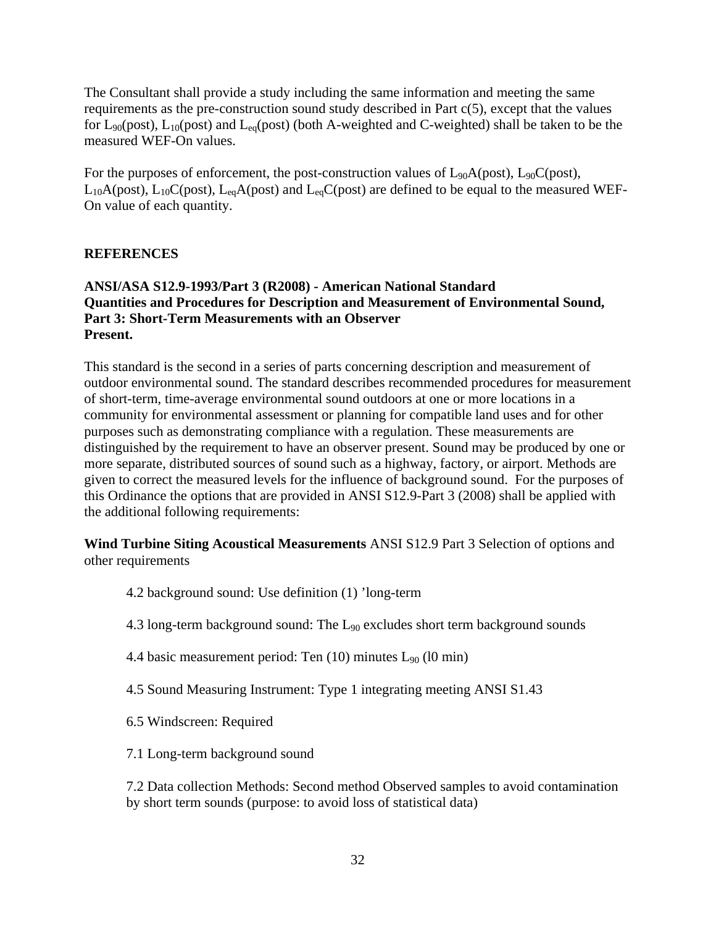The Consultant shall provide a study including the same information and meeting the same requirements as the pre-construction sound study described in Part c(5), except that the values for  $L_{90}(post)$ ,  $L_{10}(post)$  and  $L_{eq}(post)$  (both A-weighted and C-weighted) shall be taken to be the measured WEF-On values.

For the purposes of enforcement, the post-construction values of  $L_{90}A(post)$ ,  $L_{90}C(post)$ ,  $L_{10}A(post)$ ,  $L_{10}C(post)$ ,  $L_{eq}A(post)$  and  $L_{eq}C(post)$  are defined to be equal to the measured WEF-On value of each quantity.

# **REFERENCES**

# **ANSI/ASA S12.9-1993/Part 3 (R2008) - American National Standard Quantities and Procedures for Description and Measurement of Environmental Sound, Part 3: Short-Term Measurements with an Observer Present.**

This standard is the second in a series of parts concerning description and measurement of outdoor environmental sound. The standard describes recommended procedures for measurement of short-term, time-average environmental sound outdoors at one or more locations in a community for environmental assessment or planning for compatible land uses and for other purposes such as demonstrating compliance with a regulation. These measurements are distinguished by the requirement to have an observer present. Sound may be produced by one or more separate, distributed sources of sound such as a highway, factory, or airport. Methods are given to correct the measured levels for the influence of background sound. For the purposes of this Ordinance the options that are provided in ANSI S12.9-Part 3 (2008) shall be applied with the additional following requirements:

**Wind Turbine Siting Acoustical Measurements** ANSI S12.9 Part 3 Selection of options and other requirements

- 4.2 background sound: Use definition (1) 'long-term
- 4.3 long-term background sound: The L90 excludes short term background sounds
- 4.4 basic measurement period: Ten  $(10)$  minutes  $L_{90}$   $(10 \text{ min})$
- 4.5 Sound Measuring Instrument: Type 1 integrating meeting ANSI S1.43
- 6.5 Windscreen: Required
- 7.1 Long-term background sound

7.2 Data collection Methods: Second method Observed samples to avoid contamination by short term sounds (purpose: to avoid loss of statistical data)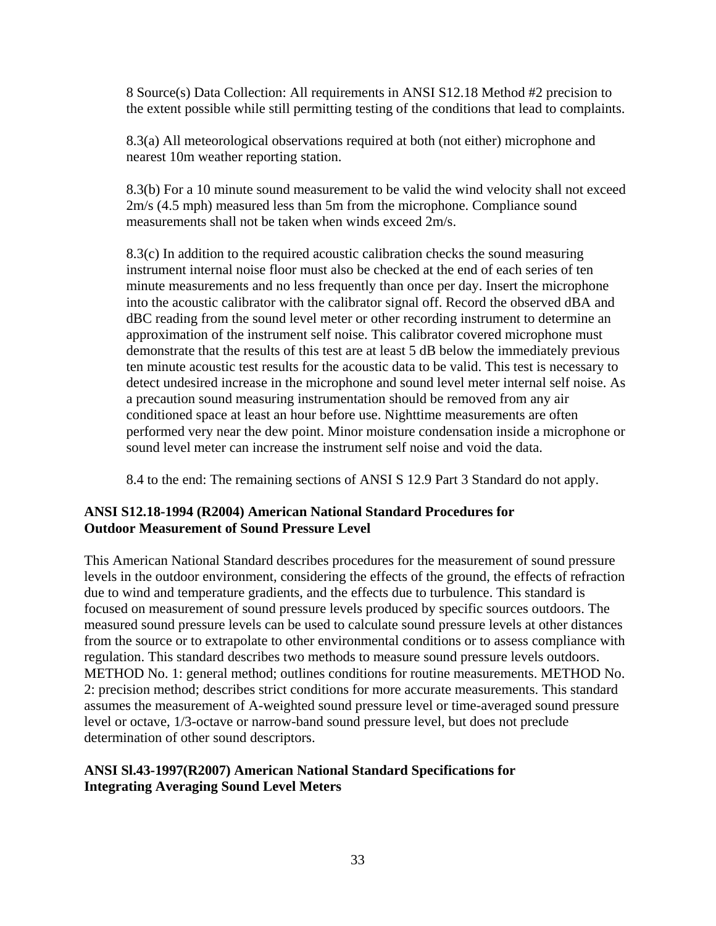8 Source(s) Data Collection: All requirements in ANSI S12.18 Method #2 precision to the extent possible while still permitting testing of the conditions that lead to complaints.

8.3(a) All meteorological observations required at both (not either) microphone and nearest 10m weather reporting station.

8.3(b) For a 10 minute sound measurement to be valid the wind velocity shall not exceed 2m/s (4.5 mph) measured less than 5m from the microphone. Compliance sound measurements shall not be taken when winds exceed 2m/s.

8.3(c) In addition to the required acoustic calibration checks the sound measuring instrument internal noise floor must also be checked at the end of each series of ten minute measurements and no less frequently than once per day. Insert the microphone into the acoustic calibrator with the calibrator signal off. Record the observed dBA and dBC reading from the sound level meter or other recording instrument to determine an approximation of the instrument self noise. This calibrator covered microphone must demonstrate that the results of this test are at least 5 dB below the immediately previous ten minute acoustic test results for the acoustic data to be valid. This test is necessary to detect undesired increase in the microphone and sound level meter internal self noise. As a precaution sound measuring instrumentation should be removed from any air conditioned space at least an hour before use. Nighttime measurements are often performed very near the dew point. Minor moisture condensation inside a microphone or sound level meter can increase the instrument self noise and void the data.

8.4 to the end: The remaining sections of ANSI S 12.9 Part 3 Standard do not apply.

# **ANSI S12.18-1994 (R2004) American National Standard Procedures for Outdoor Measurement of Sound Pressure Level**

This American National Standard describes procedures for the measurement of sound pressure levels in the outdoor environment, considering the effects of the ground, the effects of refraction due to wind and temperature gradients, and the effects due to turbulence. This standard is focused on measurement of sound pressure levels produced by specific sources outdoors. The measured sound pressure levels can be used to calculate sound pressure levels at other distances from the source or to extrapolate to other environmental conditions or to assess compliance with regulation. This standard describes two methods to measure sound pressure levels outdoors. METHOD No. 1: general method; outlines conditions for routine measurements. METHOD No. 2: precision method; describes strict conditions for more accurate measurements. This standard assumes the measurement of A-weighted sound pressure level or time-averaged sound pressure level or octave, 1/3-octave or narrow-band sound pressure level, but does not preclude determination of other sound descriptors.

# **ANSI Sl.43-1997(R2007) American National Standard Specifications for Integrating Averaging Sound Level Meters**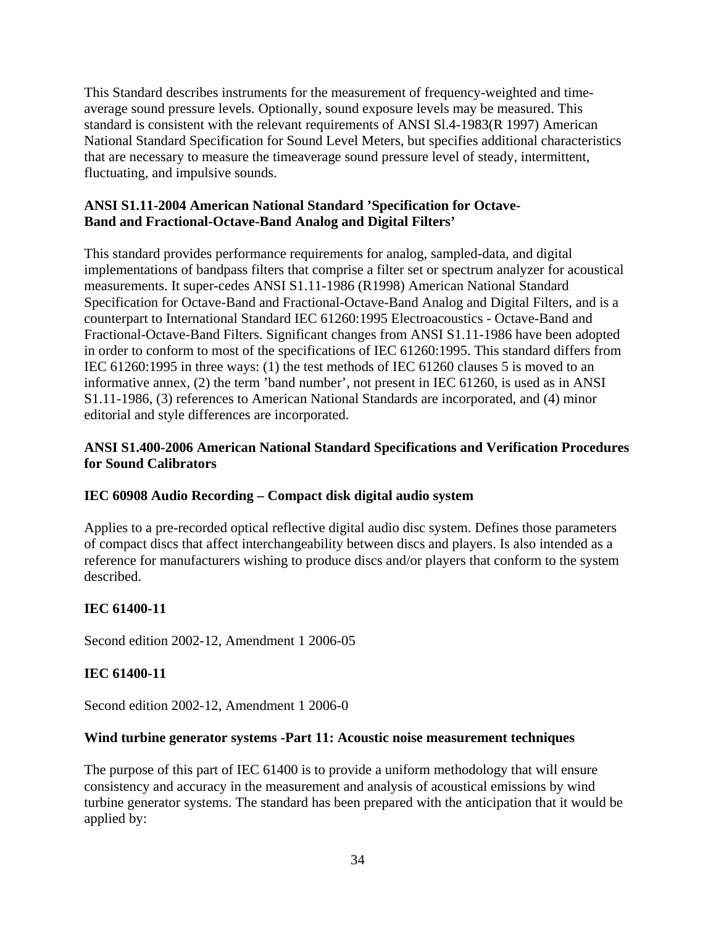This Standard describes instruments for the measurement of frequency-weighted and timeaverage sound pressure levels. Optionally, sound exposure levels may be measured. This standard is consistent with the relevant requirements of ANSI Sl.4-1983(R 1997) American National Standard Specification for Sound Level Meters, but specifies additional characteristics that are necessary to measure the timeaverage sound pressure level of steady, intermittent, fluctuating, and impulsive sounds.

# **ANSI S1.11-2004 American National Standard 'Specification for Octave-Band and Fractional-Octave-Band Analog and Digital Filters'**

This standard provides performance requirements for analog, sampled-data, and digital implementations of bandpass filters that comprise a filter set or spectrum analyzer for acoustical measurements. It super-cedes ANSI S1.11-1986 (R1998) American National Standard Specification for Octave-Band and Fractional-Octave-Band Analog and Digital Filters, and is a counterpart to International Standard IEC 61260:1995 Electroacoustics - Octave-Band and Fractional-Octave-Band Filters. Significant changes from ANSI S1.11-1986 have been adopted in order to conform to most of the specifications of IEC 61260:1995. This standard differs from IEC 61260:1995 in three ways: (1) the test methods of IEC 61260 clauses 5 is moved to an informative annex, (2) the term 'band number', not present in IEC 61260, is used as in ANSI S1.11-1986, (3) references to American National Standards are incorporated, and (4) minor editorial and style differences are incorporated.

# **ANSI S1.400-2006 American National Standard Specifications and Verification Procedures for Sound Calibrators**

# **IEC 60908 Audio Recording – Compact disk digital audio system**

Applies to a pre-recorded optical reflective digital audio disc system. Defines those parameters of compact discs that affect interchangeability between discs and players. Is also intended as a reference for manufacturers wishing to produce discs and/or players that conform to the system described.

# **IEC 61400-11**

Second edition 2002-12, Amendment 1 2006-05

# **IEC 61400-11**

Second edition 2002-12, Amendment 1 2006-0

## **Wind turbine generator systems -Part 11: Acoustic noise measurement techniques**

The purpose of this part of IEC 61400 is to provide a uniform methodology that will ensure consistency and accuracy in the measurement and analysis of acoustical emissions by wind turbine generator systems. The standard has been prepared with the anticipation that it would be applied by: